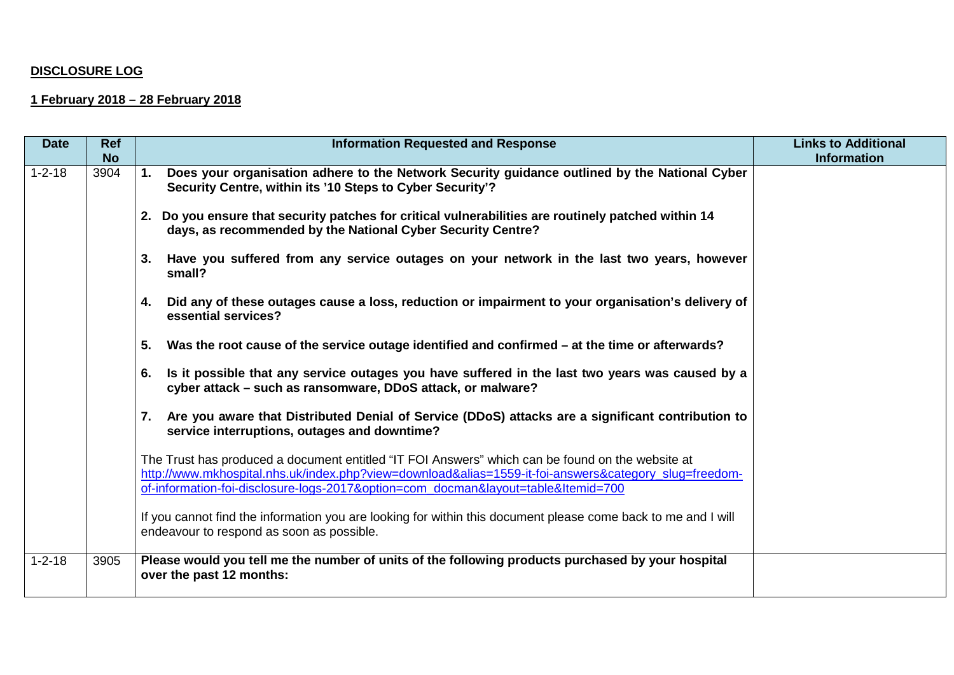## **DISCLOSURE LOG**

## **1 February 2018 – 28 February 2018**

| <b>Date</b>  | <b>Ref</b>        | <b>Information Requested and Response</b>                                                                                                                                                  | <b>Links to Additional</b> |
|--------------|-------------------|--------------------------------------------------------------------------------------------------------------------------------------------------------------------------------------------|----------------------------|
| $1 - 2 - 18$ | <b>No</b><br>3904 | Does your organisation adhere to the Network Security guidance outlined by the National Cyber<br>1.                                                                                        | <b>Information</b>         |
|              |                   | Security Centre, within its '10 Steps to Cyber Security'?                                                                                                                                  |                            |
|              |                   | 2. Do you ensure that security patches for critical vulnerabilities are routinely patched within 14<br>days, as recommended by the National Cyber Security Centre?                         |                            |
|              |                   | Have you suffered from any service outages on your network in the last two years, however<br>3.<br>small?                                                                                  |                            |
|              |                   | Did any of these outages cause a loss, reduction or impairment to your organisation's delivery of<br>4.<br>essential services?                                                             |                            |
|              |                   | Was the root cause of the service outage identified and confirmed – at the time or afterwards?<br>5.                                                                                       |                            |
|              |                   | Is it possible that any service outages you have suffered in the last two years was caused by a<br>6.<br>cyber attack - such as ransomware, DDoS attack, or malware?                       |                            |
|              |                   | Are you aware that Distributed Denial of Service (DDoS) attacks are a significant contribution to<br>7.<br>service interruptions, outages and downtime?                                    |                            |
|              |                   | The Trust has produced a document entitled "IT FOI Answers" which can be found on the website at                                                                                           |                            |
|              |                   | http://www.mkhospital.nhs.uk/index.php?view=download&alias=1559-it-foi-answers&category_slug=freedom-<br>of-information-foi-disclosure-logs-2017&option=com docman&layout=table&Itemid=700 |                            |
|              |                   |                                                                                                                                                                                            |                            |
|              |                   | If you cannot find the information you are looking for within this document please come back to me and I will<br>endeavour to respond as soon as possible.                                 |                            |
| $1 - 2 - 18$ | 3905              | Please would you tell me the number of units of the following products purchased by your hospital<br>over the past 12 months:                                                              |                            |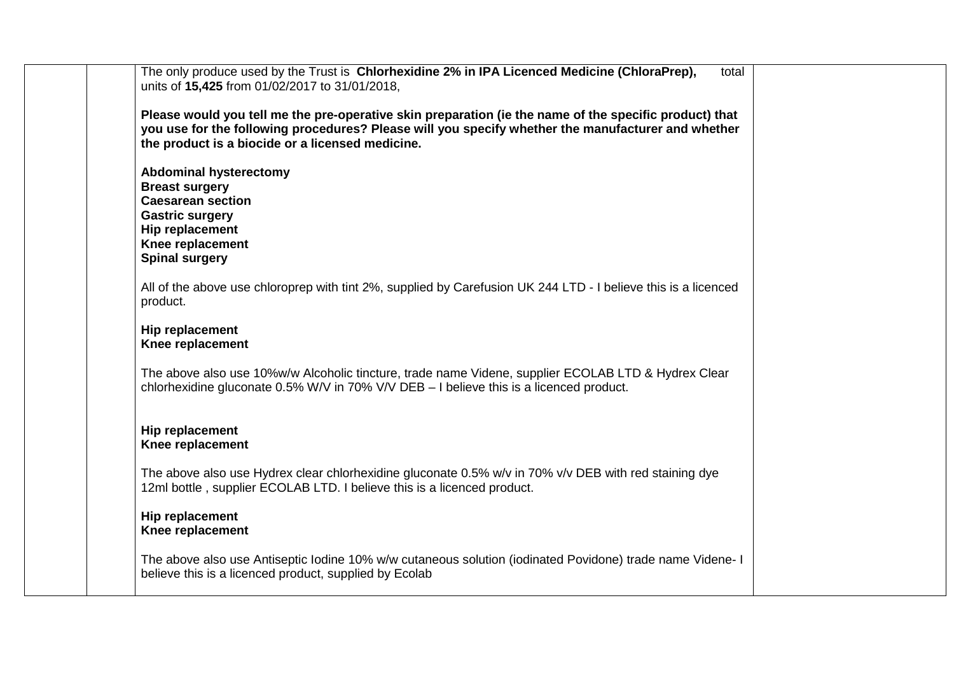| The only produce used by the Trust is Chlorhexidine 2% in IPA Licenced Medicine (ChloraPrep),<br>total<br>units of 15,425 from 01/02/2017 to 31/01/2018,                                                                                                         |
|------------------------------------------------------------------------------------------------------------------------------------------------------------------------------------------------------------------------------------------------------------------|
| Please would you tell me the pre-operative skin preparation (ie the name of the specific product) that<br>you use for the following procedures? Please will you specify whether the manufacturer and whether<br>the product is a biocide or a licensed medicine. |
| <b>Abdominal hysterectomy</b><br><b>Breast surgery</b><br><b>Caesarean section</b><br><b>Gastric surgery</b><br><b>Hip replacement</b><br>Knee replacement<br><b>Spinal surgery</b>                                                                              |
| All of the above use chloroprep with tint 2%, supplied by Carefusion UK 244 LTD - I believe this is a licenced<br>product.                                                                                                                                       |
| <b>Hip replacement</b><br>Knee replacement                                                                                                                                                                                                                       |
| The above also use 10%w/w Alcoholic tincture, trade name Videne, supplier ECOLAB LTD & Hydrex Clear<br>chlorhexidine gluconate $0.5\%$ W/V in 70% V/V DEB - I believe this is a licenced product.                                                                |
| Hip replacement<br>Knee replacement                                                                                                                                                                                                                              |
| The above also use Hydrex clear chlorhexidine gluconate 0.5% w/v in 70% v/v DEB with red staining dye<br>12ml bottle, supplier ECOLAB LTD. I believe this is a licenced product.                                                                                 |
| Hip replacement<br>Knee replacement                                                                                                                                                                                                                              |
| The above also use Antiseptic Iodine 10% w/w cutaneous solution (iodinated Povidone) trade name Videne- I<br>believe this is a licenced product, supplied by Ecolab                                                                                              |
|                                                                                                                                                                                                                                                                  |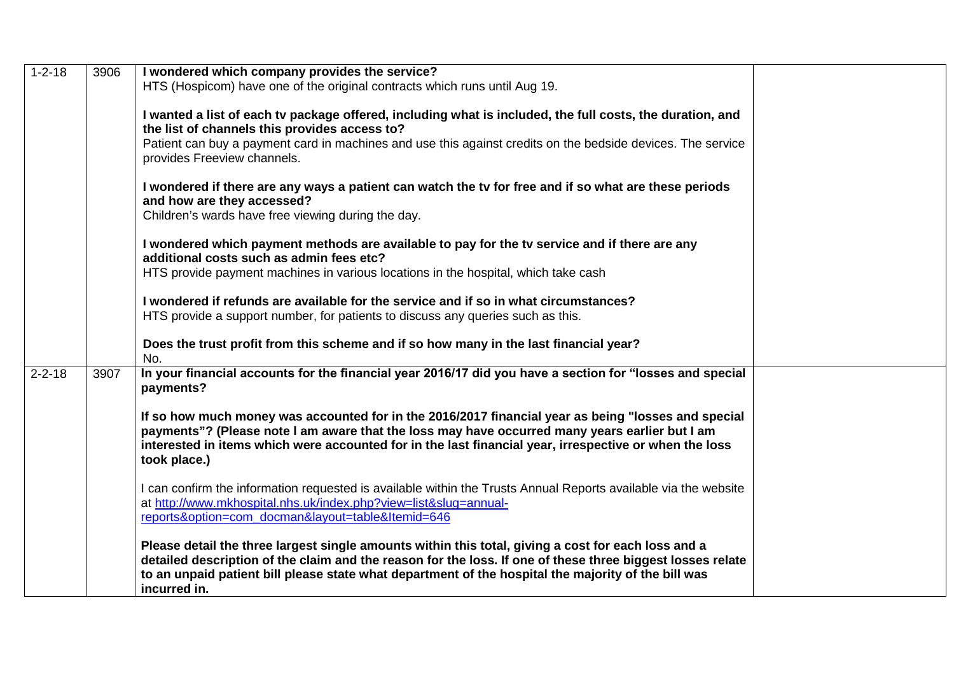| $1 - 2 - 18$ | 3906 | I wondered which company provides the service?                                                                                                                                                                                                                                                                                           |  |
|--------------|------|------------------------------------------------------------------------------------------------------------------------------------------------------------------------------------------------------------------------------------------------------------------------------------------------------------------------------------------|--|
|              |      | HTS (Hospicom) have one of the original contracts which runs until Aug 19.                                                                                                                                                                                                                                                               |  |
|              |      | I wanted a list of each tv package offered, including what is included, the full costs, the duration, and<br>the list of channels this provides access to?<br>Patient can buy a payment card in machines and use this against credits on the bedside devices. The service<br>provides Freeview channels.                                 |  |
|              |      | I wondered if there are any ways a patient can watch the tv for free and if so what are these periods<br>and how are they accessed?<br>Children's wards have free viewing during the day.                                                                                                                                                |  |
|              |      | I wondered which payment methods are available to pay for the tv service and if there are any<br>additional costs such as admin fees etc?<br>HTS provide payment machines in various locations in the hospital, which take cash                                                                                                          |  |
|              |      | I wondered if refunds are available for the service and if so in what circumstances?<br>HTS provide a support number, for patients to discuss any queries such as this.                                                                                                                                                                  |  |
|              |      | Does the trust profit from this scheme and if so how many in the last financial year?<br>No.                                                                                                                                                                                                                                             |  |
| $2 - 2 - 18$ | 3907 | In your financial accounts for the financial year 2016/17 did you have a section for "losses and special<br>payments?                                                                                                                                                                                                                    |  |
|              |      | If so how much money was accounted for in the 2016/2017 financial year as being "losses and special<br>payments"? (Please note I am aware that the loss may have occurred many years earlier but I am<br>interested in items which were accounted for in the last financial year, irrespective or when the loss<br>took place.)          |  |
|              |      | I can confirm the information requested is available within the Trusts Annual Reports available via the website<br>at http://www.mkhospital.nhs.uk/index.php?view=list&slug=annual-<br>reports&option=com docman&layout=table&Itemid=646                                                                                                 |  |
|              |      | Please detail the three largest single amounts within this total, giving a cost for each loss and a<br>detailed description of the claim and the reason for the loss. If one of these three biggest losses relate<br>to an unpaid patient bill please state what department of the hospital the majority of the bill was<br>incurred in. |  |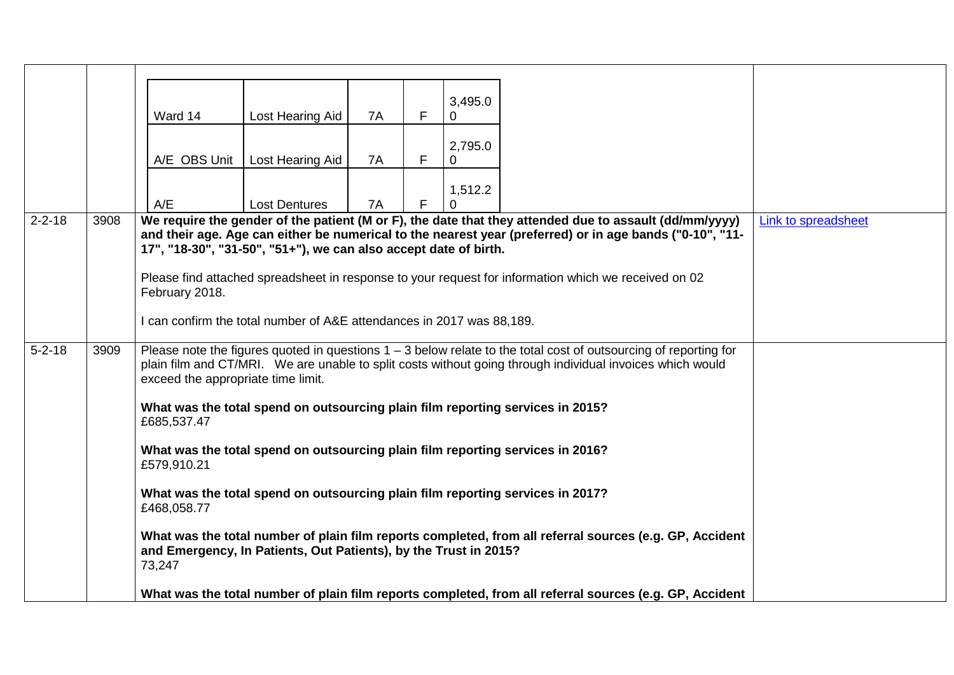|              |      | Ward 14                                                                                                                                                                                                                                                                                                                                                                                                                                                                                                                                                                                                                                                                                                                                                                                                                                    | Lost Hearing Aid                                                 | 7A | F | 3,495.0<br>$\overline{0}$ |                                                                                                         |                                                                                                                                                                                                                    |                            |
|--------------|------|--------------------------------------------------------------------------------------------------------------------------------------------------------------------------------------------------------------------------------------------------------------------------------------------------------------------------------------------------------------------------------------------------------------------------------------------------------------------------------------------------------------------------------------------------------------------------------------------------------------------------------------------------------------------------------------------------------------------------------------------------------------------------------------------------------------------------------------------|------------------------------------------------------------------|----|---|---------------------------|---------------------------------------------------------------------------------------------------------|--------------------------------------------------------------------------------------------------------------------------------------------------------------------------------------------------------------------|----------------------------|
|              |      |                                                                                                                                                                                                                                                                                                                                                                                                                                                                                                                                                                                                                                                                                                                                                                                                                                            | A/E OBS Unit   Lost Hearing Aid                                  | 7A | F | 2,795.0<br>0              |                                                                                                         |                                                                                                                                                                                                                    |                            |
|              |      | A/E                                                                                                                                                                                                                                                                                                                                                                                                                                                                                                                                                                                                                                                                                                                                                                                                                                        | <b>Lost Dentures</b>                                             | 7A | F | 1,512.2<br>$\Omega$       |                                                                                                         |                                                                                                                                                                                                                    |                            |
| $2 - 2 - 18$ | 3908 | February 2018.                                                                                                                                                                                                                                                                                                                                                                                                                                                                                                                                                                                                                                                                                                                                                                                                                             | 17", "18-30", "31-50", "51+"), we can also accept date of birth. |    |   |                           | Please find attached spreadsheet in response to your request for information which we received on 02    | We require the gender of the patient (M or F), the date that they attended due to assault (dd/mm/yyyy)<br>and their age. Age can either be numerical to the nearest year (preferred) or in age bands ("0-10", "11- | <b>Link to spreadsheet</b> |
| $5 - 2 - 18$ | 3909 | I can confirm the total number of A&E attendances in 2017 was 88,189.<br>Please note the figures quoted in questions $1 - 3$ below relate to the total cost of outsourcing of reporting for<br>plain film and CT/MRI. We are unable to split costs without going through individual invoices which would<br>exceed the appropriate time limit.<br>What was the total spend on outsourcing plain film reporting services in 2015?<br>£685,537.47<br>What was the total spend on outsourcing plain film reporting services in 2016?<br>£579,910.21<br>What was the total spend on outsourcing plain film reporting services in 2017?<br>£468,058.77<br>What was the total number of plain film reports completed, from all referral sources (e.g. GP, Accident<br>and Emergency, In Patients, Out Patients), by the Trust in 2015?<br>73,247 |                                                                  |    |   |                           | What was the total number of plain film reports completed, from all referral sources (e.g. GP, Accident |                                                                                                                                                                                                                    |                            |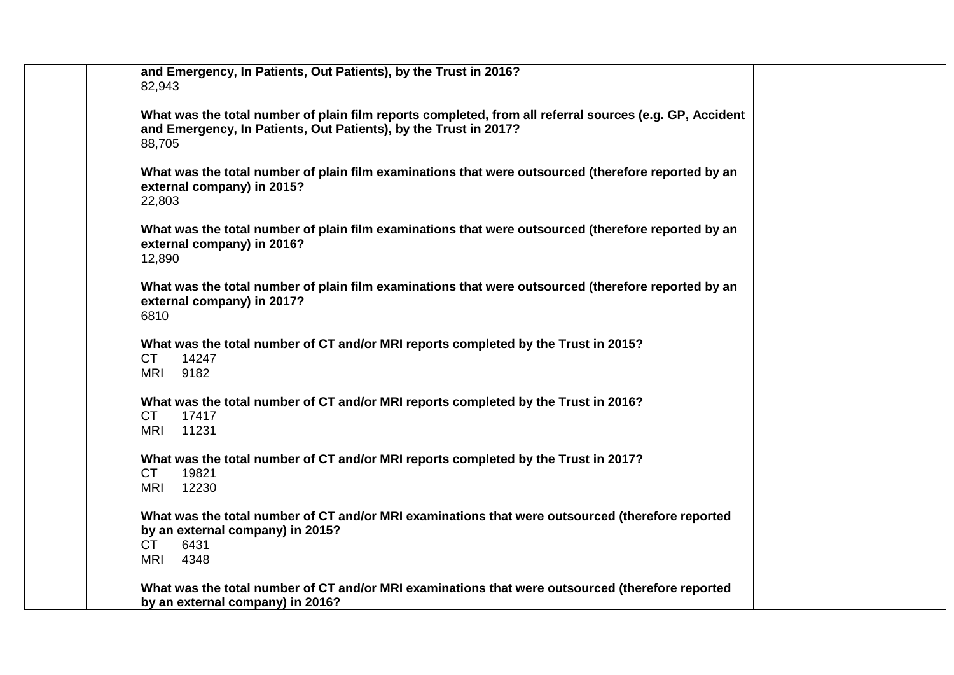| and Emergency, In Patients, Out Patients), by the Trust in 2016?<br>82,943                                                                                                            |  |
|---------------------------------------------------------------------------------------------------------------------------------------------------------------------------------------|--|
| What was the total number of plain film reports completed, from all referral sources (e.g. GP, Accident<br>and Emergency, In Patients, Out Patients), by the Trust in 2017?<br>88,705 |  |
| What was the total number of plain film examinations that were outsourced (therefore reported by an<br>external company) in 2015?<br>22,803                                           |  |
| What was the total number of plain film examinations that were outsourced (therefore reported by an<br>external company) in 2016?<br>12,890                                           |  |
| What was the total number of plain film examinations that were outsourced (therefore reported by an<br>external company) in 2017?<br>6810                                             |  |
| What was the total number of CT and/or MRI reports completed by the Trust in 2015?<br><b>CT</b><br>14247<br><b>MRI</b><br>9182                                                        |  |
| What was the total number of CT and/or MRI reports completed by the Trust in 2016?<br><b>CT</b><br>17417<br><b>MRI</b><br>11231                                                       |  |
| What was the total number of CT and/or MRI reports completed by the Trust in 2017?<br><b>CT</b><br>19821<br><b>MRI</b><br>12230                                                       |  |
| What was the total number of CT and/or MRI examinations that were outsourced (therefore reported<br>by an external company) in 2015?<br><b>CT</b><br>6431<br><b>MRI</b><br>4348       |  |
| What was the total number of CT and/or MRI examinations that were outsourced (therefore reported<br>by an external company) in 2016?                                                  |  |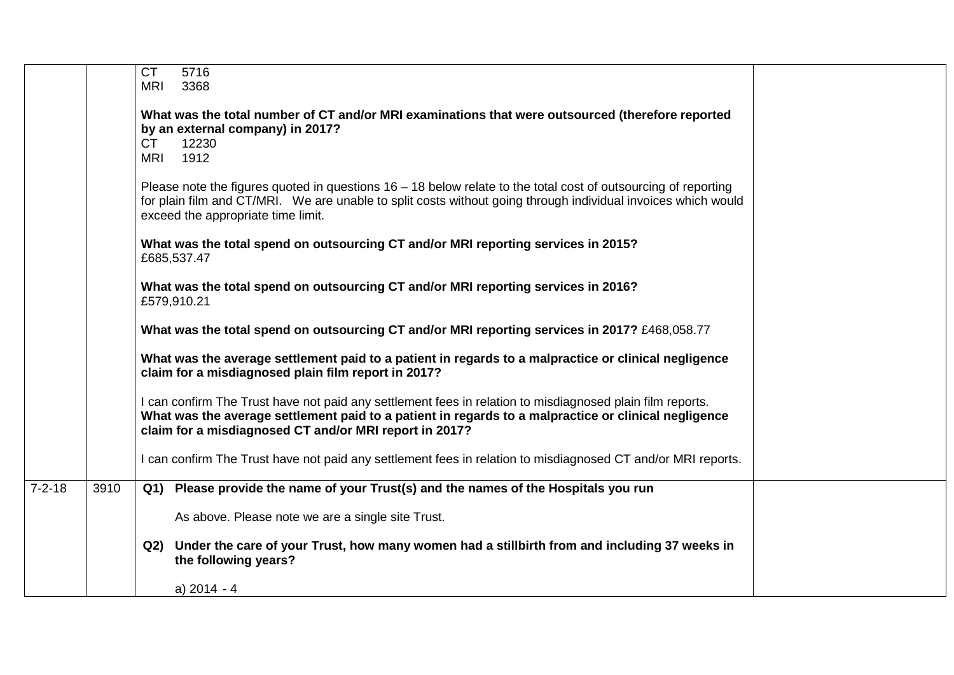|      | <b>CT</b><br>5716<br><b>MRI</b><br>3368                                                                                                                                                                                                                                     |  |
|------|-----------------------------------------------------------------------------------------------------------------------------------------------------------------------------------------------------------------------------------------------------------------------------|--|
|      | What was the total number of CT and/or MRI examinations that were outsourced (therefore reported<br>by an external company) in 2017?<br><b>CT</b><br>12230<br><b>MRI</b><br>1912                                                                                            |  |
|      | Please note the figures quoted in questions $16 - 18$ below relate to the total cost of outsourcing of reporting<br>for plain film and CT/MRI. We are unable to split costs without going through individual invoices which would<br>exceed the appropriate time limit.     |  |
|      | What was the total spend on outsourcing CT and/or MRI reporting services in 2015?<br>£685,537.47                                                                                                                                                                            |  |
|      | What was the total spend on outsourcing CT and/or MRI reporting services in 2016?<br>£579,910.21                                                                                                                                                                            |  |
|      | What was the total spend on outsourcing CT and/or MRI reporting services in 2017? £468,058.77                                                                                                                                                                               |  |
|      | What was the average settlement paid to a patient in regards to a malpractice or clinical negligence<br>claim for a misdiagnosed plain film report in 2017?                                                                                                                 |  |
|      | I can confirm The Trust have not paid any settlement fees in relation to misdiagnosed plain film reports.<br>What was the average settlement paid to a patient in regards to a malpractice or clinical negligence<br>claim for a misdiagnosed CT and/or MRI report in 2017? |  |
|      | I can confirm The Trust have not paid any settlement fees in relation to misdiagnosed CT and/or MRI reports.                                                                                                                                                                |  |
| 3910 | Q1) Please provide the name of your Trust(s) and the names of the Hospitals you run                                                                                                                                                                                         |  |
|      | As above. Please note we are a single site Trust.                                                                                                                                                                                                                           |  |
|      | Q2) Under the care of your Trust, how many women had a stillbirth from and including 37 weeks in<br>the following years?                                                                                                                                                    |  |
|      | a) $2014 - 4$                                                                                                                                                                                                                                                               |  |
|      |                                                                                                                                                                                                                                                                             |  |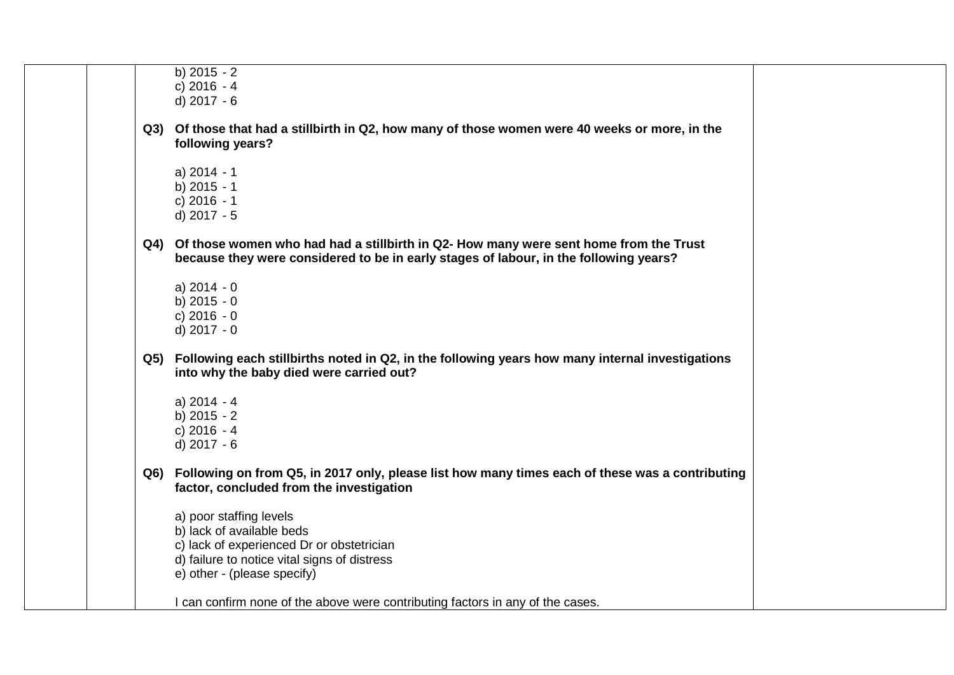|  | b) $2015 - 2$                                                                                       |  |
|--|-----------------------------------------------------------------------------------------------------|--|
|  | c) $2016 - 4$                                                                                       |  |
|  | d) 2017 - 6                                                                                         |  |
|  |                                                                                                     |  |
|  | Q3) Of those that had a stillbirth in Q2, how many of those women were 40 weeks or more, in the     |  |
|  | following years?                                                                                    |  |
|  |                                                                                                     |  |
|  | a) 2014 - 1                                                                                         |  |
|  | b) $2015 - 1$                                                                                       |  |
|  | c) $2016 - 1$                                                                                       |  |
|  | d) 2017 - 5                                                                                         |  |
|  |                                                                                                     |  |
|  | Q4) Of those women who had had a stillbirth in Q2- How many were sent home from the Trust           |  |
|  | because they were considered to be in early stages of labour, in the following years?               |  |
|  |                                                                                                     |  |
|  | a) $2014 - 0$                                                                                       |  |
|  | b) $2015 - 0$                                                                                       |  |
|  | c) $2016 - 0$                                                                                       |  |
|  | d) 2017 - 0                                                                                         |  |
|  |                                                                                                     |  |
|  | Q5) Following each stillbirths noted in Q2, in the following years how many internal investigations |  |
|  | into why the baby died were carried out?                                                            |  |
|  |                                                                                                     |  |
|  | a) $2014 - 4$                                                                                       |  |
|  | b) $2015 - 2$                                                                                       |  |
|  | c) $2016 - 4$                                                                                       |  |
|  | d) 2017 - 6                                                                                         |  |
|  |                                                                                                     |  |
|  | Q6) Following on from Q5, in 2017 only, please list how many times each of these was a contributing |  |
|  | factor, concluded from the investigation                                                            |  |
|  | a) poor staffing levels                                                                             |  |
|  | b) lack of available beds                                                                           |  |
|  | c) lack of experienced Dr or obstetrician                                                           |  |
|  | d) failure to notice vital signs of distress                                                        |  |
|  | e) other - (please specify)                                                                         |  |
|  |                                                                                                     |  |
|  | can confirm none of the above were contributing factors in any of the cases.                        |  |
|  |                                                                                                     |  |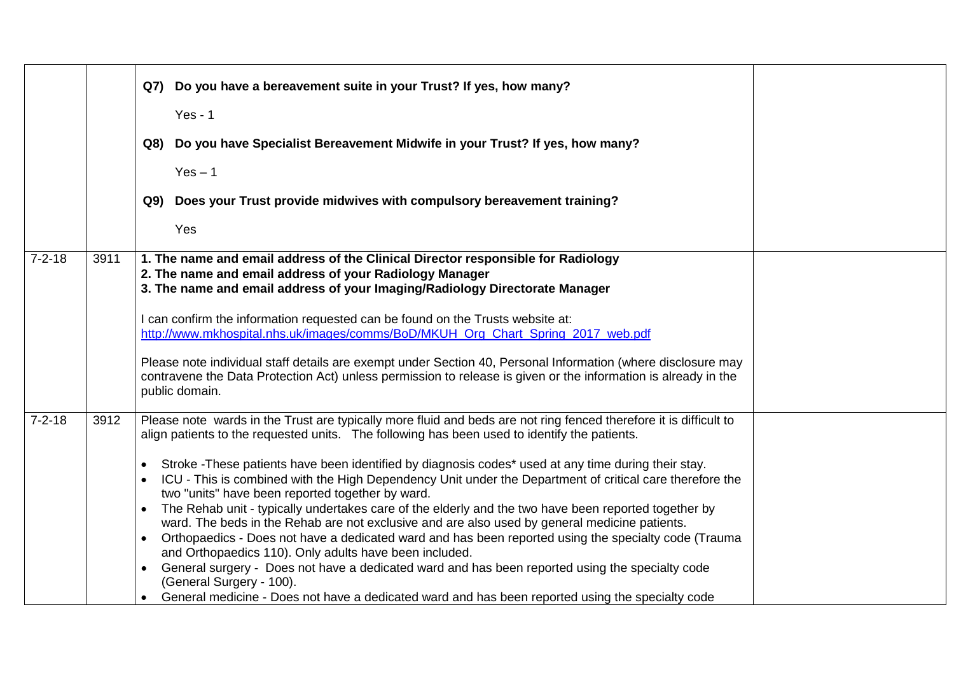|              |      | Q7) Do you have a bereavement suite in your Trust? If yes, how many?                                                                                                                                                                                                              |  |
|--------------|------|-----------------------------------------------------------------------------------------------------------------------------------------------------------------------------------------------------------------------------------------------------------------------------------|--|
|              |      | $Yes - 1$                                                                                                                                                                                                                                                                         |  |
|              |      | Do you have Specialist Bereavement Midwife in your Trust? If yes, how many?<br>Q8)                                                                                                                                                                                                |  |
|              |      | $Yes - 1$                                                                                                                                                                                                                                                                         |  |
|              |      | Does your Trust provide midwives with compulsory bereavement training?<br>Q9)                                                                                                                                                                                                     |  |
|              |      | Yes                                                                                                                                                                                                                                                                               |  |
| $7 - 2 - 18$ | 3911 | 1. The name and email address of the Clinical Director responsible for Radiology<br>2. The name and email address of your Radiology Manager<br>3. The name and email address of your Imaging/Radiology Directorate Manager                                                        |  |
|              |      | I can confirm the information requested can be found on the Trusts website at:<br>http://www.mkhospital.nhs.uk/images/comms/BoD/MKUH_Org_Chart_Spring_2017_web.pdf                                                                                                                |  |
|              |      | Please note individual staff details are exempt under Section 40, Personal Information (where disclosure may<br>contravene the Data Protection Act) unless permission to release is given or the information is already in the<br>public domain.                                  |  |
| $7 - 2 - 18$ | 3912 | Please note wards in the Trust are typically more fluid and beds are not ring fenced therefore it is difficult to<br>align patients to the requested units. The following has been used to identify the patients.                                                                 |  |
|              |      | Stroke - These patients have been identified by diagnosis codes* used at any time during their stay.<br>$\bullet$<br>ICU - This is combined with the High Dependency Unit under the Department of critical care therefore the<br>two "units" have been reported together by ward. |  |
|              |      | The Rehab unit - typically undertakes care of the elderly and the two have been reported together by<br>$\bullet$<br>ward. The beds in the Rehab are not exclusive and are also used by general medicine patients.                                                                |  |
|              |      | • Orthopaedics - Does not have a dedicated ward and has been reported using the specialty code (Trauma<br>and Orthopaedics 110). Only adults have been included.                                                                                                                  |  |
|              |      | • General surgery - Does not have a dedicated ward and has been reported using the specialty code<br>(General Surgery - 100).                                                                                                                                                     |  |
|              |      | • General medicine - Does not have a dedicated ward and has been reported using the specialty code                                                                                                                                                                                |  |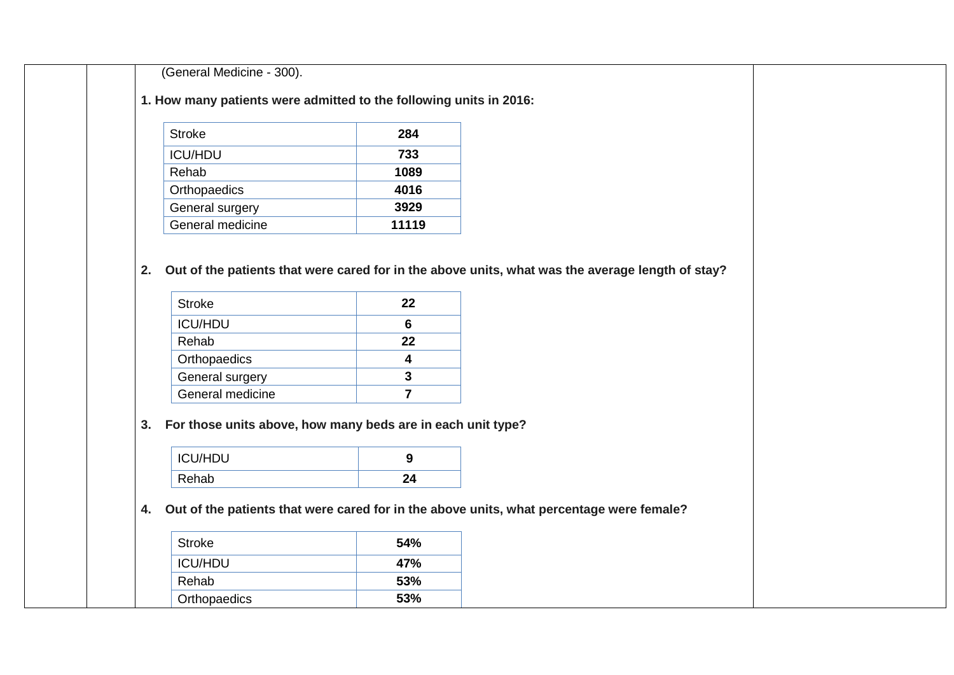(General Medicine - 300).

## **1. How many patients were admitted to the following units in 2016:**

| <b>Stroke</b>    | 284   |
|------------------|-------|
|                  |       |
| <b>ICU/HDU</b>   | 733   |
| Rehab            | 1089  |
| Orthopaedics     | 4016  |
| General surgery  | 3929  |
| General medicine | 11119 |

**2. Out of the patients that were cared for in the above units, what was the average length of stay?**

| <b>Stroke</b>    | 22 |
|------------------|----|
| <b>ICU/HDU</b>   | 6  |
| Rehab            | 22 |
| Orthopaedics     |    |
| General surgery  | 3  |
| General medicine |    |

**3. For those units above, how many beds are in each unit type?**

| <b>ICU/HDU</b> |    |
|----------------|----|
| Rehab          | 24 |

**4. Out of the patients that were cared for in the above units, what percentage were female?**

| Stroke         | 54% |
|----------------|-----|
| <b>ICU/HDU</b> | 47% |
| Rehab          | 53% |
| Orthopaedics   | 53% |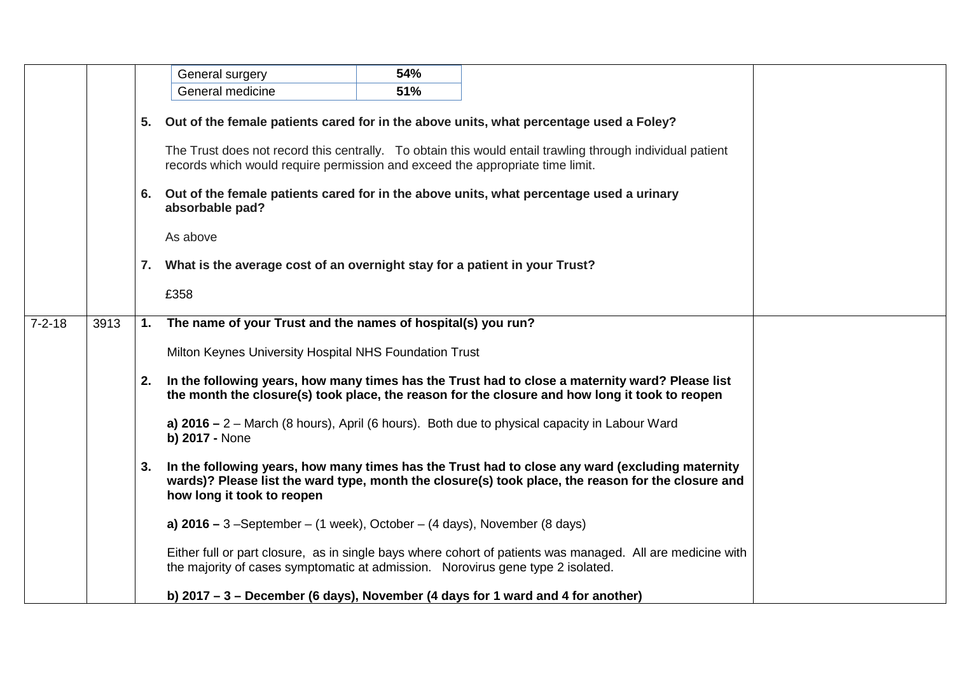|              |      |    | General surgery                                                                   | 54% |                                                                                                                                                                                                        |  |
|--------------|------|----|-----------------------------------------------------------------------------------|-----|--------------------------------------------------------------------------------------------------------------------------------------------------------------------------------------------------------|--|
|              |      |    | General medicine                                                                  | 51% |                                                                                                                                                                                                        |  |
|              |      |    |                                                                                   |     | 5. Out of the female patients cared for in the above units, what percentage used a Foley?<br>The Trust does not record this centrally. To obtain this would entail trawling through individual patient |  |
|              |      |    | records which would require permission and exceed the appropriate time limit.     |     |                                                                                                                                                                                                        |  |
|              |      |    | absorbable pad?                                                                   |     | 6. Out of the female patients cared for in the above units, what percentage used a urinary                                                                                                             |  |
|              |      |    | As above                                                                          |     |                                                                                                                                                                                                        |  |
|              |      |    | 7. What is the average cost of an overnight stay for a patient in your Trust?     |     |                                                                                                                                                                                                        |  |
|              |      |    | £358                                                                              |     |                                                                                                                                                                                                        |  |
| $7 - 2 - 18$ | 3913 | 1. | The name of your Trust and the names of hospital(s) you run?                      |     |                                                                                                                                                                                                        |  |
|              |      |    |                                                                                   |     |                                                                                                                                                                                                        |  |
|              |      |    | Milton Keynes University Hospital NHS Foundation Trust                            |     |                                                                                                                                                                                                        |  |
|              |      | 2. |                                                                                   |     | In the following years, how many times has the Trust had to close a maternity ward? Please list<br>the month the closure(s) took place, the reason for the closure and how long it took to reopen      |  |
|              |      |    | b) 2017 - None                                                                    |     | a) $2016 - 2$ – March (8 hours), April (6 hours). Both due to physical capacity in Labour Ward                                                                                                         |  |
|              |      | 3. | how long it took to reopen                                                        |     | In the following years, how many times has the Trust had to close any ward (excluding maternity<br>wards)? Please list the ward type, month the closure(s) took place, the reason for the closure and  |  |
|              |      |    | a) $2016 - 3$ -September – (1 week), October – (4 days), November (8 days)        |     |                                                                                                                                                                                                        |  |
|              |      |    | the majority of cases symptomatic at admission. Norovirus gene type 2 isolated.   |     | Either full or part closure, as in single bays where cohort of patients was managed. All are medicine with                                                                                             |  |
|              |      |    | b) $2017 - 3 -$ December (6 days), November (4 days for 1 ward and 4 for another) |     |                                                                                                                                                                                                        |  |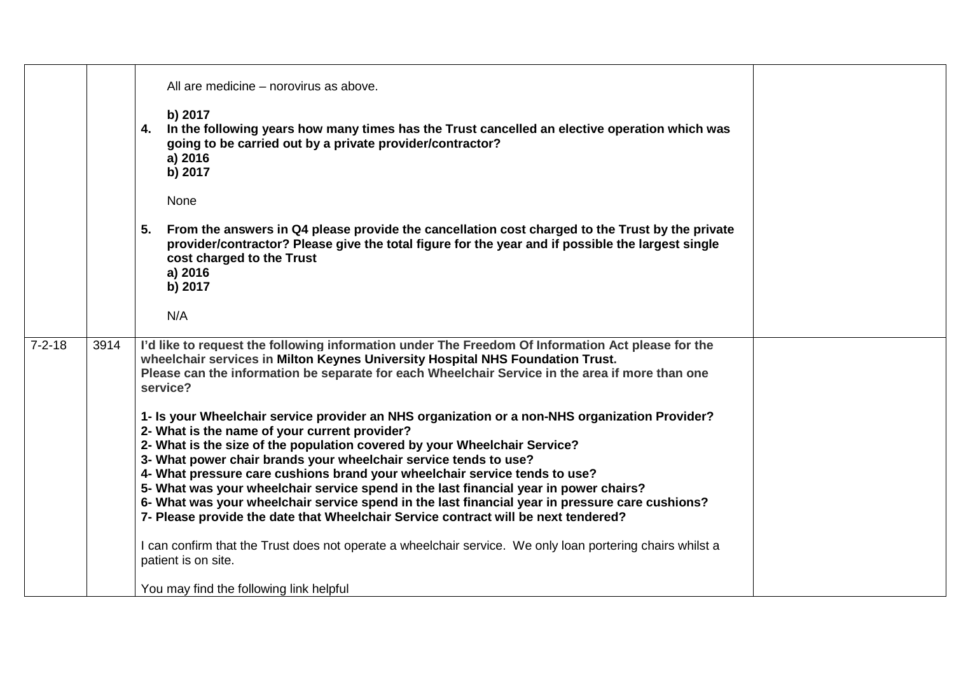|              |      | All are medicine - norovirus as above.<br>b) 2017<br>4. In the following years how many times has the Trust cancelled an elective operation which was<br>going to be carried out by a private provider/contractor?<br>a) 2016<br>b) 2017                                                                                                                                                                                                                                                                                                                                                                                                                         |
|--------------|------|------------------------------------------------------------------------------------------------------------------------------------------------------------------------------------------------------------------------------------------------------------------------------------------------------------------------------------------------------------------------------------------------------------------------------------------------------------------------------------------------------------------------------------------------------------------------------------------------------------------------------------------------------------------|
|              |      | None                                                                                                                                                                                                                                                                                                                                                                                                                                                                                                                                                                                                                                                             |
|              |      | From the answers in Q4 please provide the cancellation cost charged to the Trust by the private<br>5.<br>provider/contractor? Please give the total figure for the year and if possible the largest single<br>cost charged to the Trust<br>a) 2016<br>b) 2017                                                                                                                                                                                                                                                                                                                                                                                                    |
|              |      | N/A                                                                                                                                                                                                                                                                                                                                                                                                                                                                                                                                                                                                                                                              |
|              |      |                                                                                                                                                                                                                                                                                                                                                                                                                                                                                                                                                                                                                                                                  |
| $7 - 2 - 18$ | 3914 | I'd like to request the following information under The Freedom Of Information Act please for the<br>wheelchair services in Milton Keynes University Hospital NHS Foundation Trust.<br>Please can the information be separate for each Wheelchair Service in the area if more than one<br>service?                                                                                                                                                                                                                                                                                                                                                               |
|              |      | 1- Is your Wheelchair service provider an NHS organization or a non-NHS organization Provider?<br>2- What is the name of your current provider?<br>2- What is the size of the population covered by your Wheelchair Service?<br>3- What power chair brands your wheelchair service tends to use?<br>4- What pressure care cushions brand your wheelchair service tends to use?<br>5- What was your wheelchair service spend in the last financial year in power chairs?<br>6- What was your wheelchair service spend in the last financial year in pressure care cushions?<br>7- Please provide the date that Wheelchair Service contract will be next tendered? |
|              |      | I can confirm that the Trust does not operate a wheelchair service. We only loan portering chairs whilst a<br>patient is on site.                                                                                                                                                                                                                                                                                                                                                                                                                                                                                                                                |
|              |      | You may find the following link helpful                                                                                                                                                                                                                                                                                                                                                                                                                                                                                                                                                                                                                          |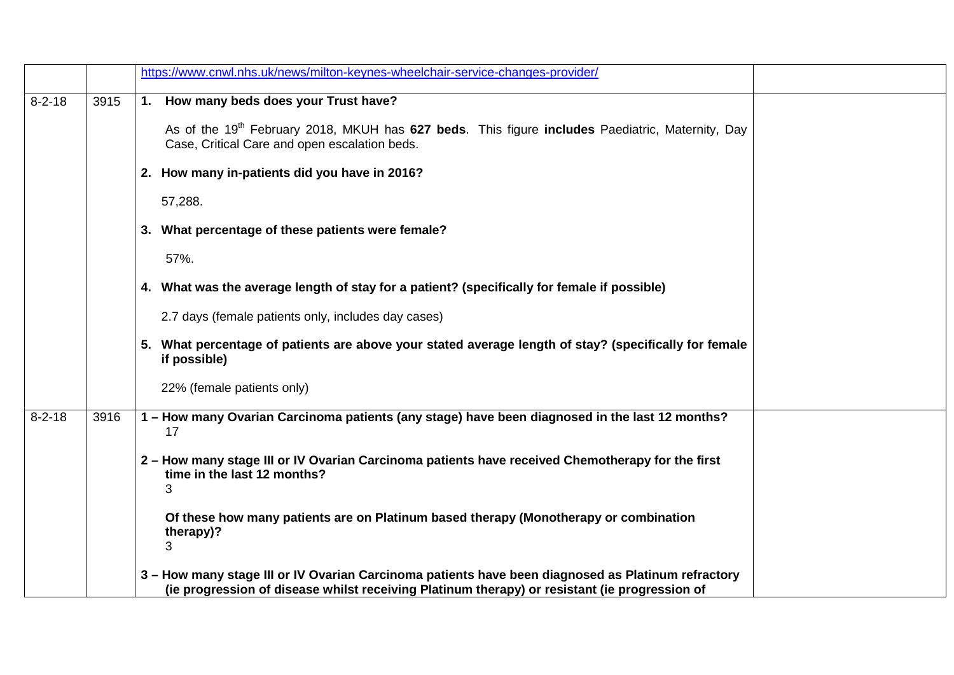|              |      | https://www.cnwl.nhs.uk/news/milton-keynes-wheelchair-service-changes-provider/                                                                                                                     |
|--------------|------|-----------------------------------------------------------------------------------------------------------------------------------------------------------------------------------------------------|
| $8 - 2 - 18$ | 3915 | 1. How many beds does your Trust have?                                                                                                                                                              |
|              |      | As of the 19 <sup>th</sup> February 2018, MKUH has 627 beds. This figure includes Paediatric, Maternity, Day<br>Case, Critical Care and open escalation beds.                                       |
|              |      | 2. How many in-patients did you have in 2016?                                                                                                                                                       |
|              |      | 57,288.                                                                                                                                                                                             |
|              |      | 3. What percentage of these patients were female?                                                                                                                                                   |
|              |      | 57%.                                                                                                                                                                                                |
|              |      | 4. What was the average length of stay for a patient? (specifically for female if possible)                                                                                                         |
|              |      | 2.7 days (female patients only, includes day cases)                                                                                                                                                 |
|              |      | 5. What percentage of patients are above your stated average length of stay? (specifically for female<br>if possible)                                                                               |
|              |      | 22% (female patients only)                                                                                                                                                                          |
| $8 - 2 - 18$ | 3916 | 1 - How many Ovarian Carcinoma patients (any stage) have been diagnosed in the last 12 months?<br>17                                                                                                |
|              |      | 2 - How many stage III or IV Ovarian Carcinoma patients have received Chemotherapy for the first<br>time in the last 12 months?<br>3                                                                |
|              |      | Of these how many patients are on Platinum based therapy (Monotherapy or combination<br>therapy)?<br>3                                                                                              |
|              |      | 3 - How many stage III or IV Ovarian Carcinoma patients have been diagnosed as Platinum refractory<br>(ie progression of disease whilst receiving Platinum therapy) or resistant (ie progression of |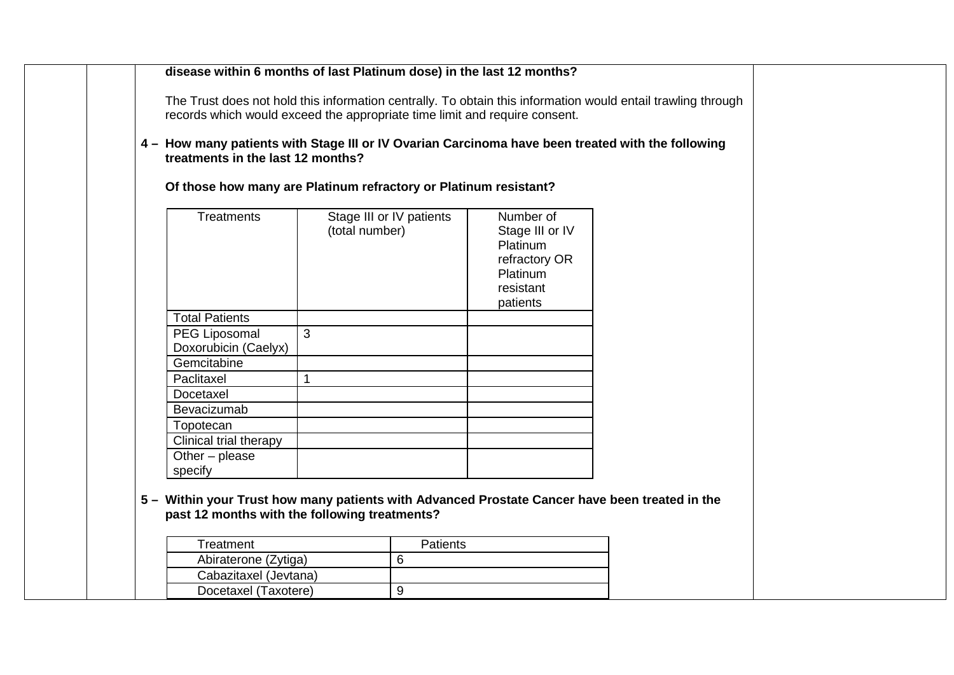| treatments in the last 12 months?                                                                                                               |                |                          |                                                                                                | 4 - How many patients with Stage III or IV Ovarian Carcinoma have been treated with the following |  |
|-------------------------------------------------------------------------------------------------------------------------------------------------|----------------|--------------------------|------------------------------------------------------------------------------------------------|---------------------------------------------------------------------------------------------------|--|
| Of those how many are Platinum refractory or Platinum resistant?                                                                                |                |                          |                                                                                                |                                                                                                   |  |
| <b>Treatments</b>                                                                                                                               | (total number) | Stage III or IV patients | Number of<br>Stage III or IV<br>Platinum<br>refractory OR<br>Platinum<br>resistant<br>patients |                                                                                                   |  |
| <b>Total Patients</b>                                                                                                                           |                |                          |                                                                                                |                                                                                                   |  |
| PEG Liposomal<br>Doxorubicin (Caelyx)                                                                                                           | 3              |                          |                                                                                                |                                                                                                   |  |
| Gemcitabine                                                                                                                                     |                |                          |                                                                                                |                                                                                                   |  |
| Paclitaxel                                                                                                                                      |                |                          |                                                                                                |                                                                                                   |  |
| Docetaxel                                                                                                                                       |                |                          |                                                                                                |                                                                                                   |  |
| Bevacizumab                                                                                                                                     |                |                          |                                                                                                |                                                                                                   |  |
| Topotecan                                                                                                                                       |                |                          |                                                                                                |                                                                                                   |  |
| Clinical trial therapy                                                                                                                          |                |                          |                                                                                                |                                                                                                   |  |
| Other $-$ please<br>specify                                                                                                                     |                |                          |                                                                                                |                                                                                                   |  |
| 5 - Within your Trust how many patients with Advanced Prostate Cancer have been treated in the<br>past 12 months with the following treatments? |                |                          |                                                                                                |                                                                                                   |  |
| Treatment                                                                                                                                       |                | Patients                 |                                                                                                |                                                                                                   |  |
| Abiraterone (Zytiga)                                                                                                                            |                | $6\phantom{1}6$          |                                                                                                |                                                                                                   |  |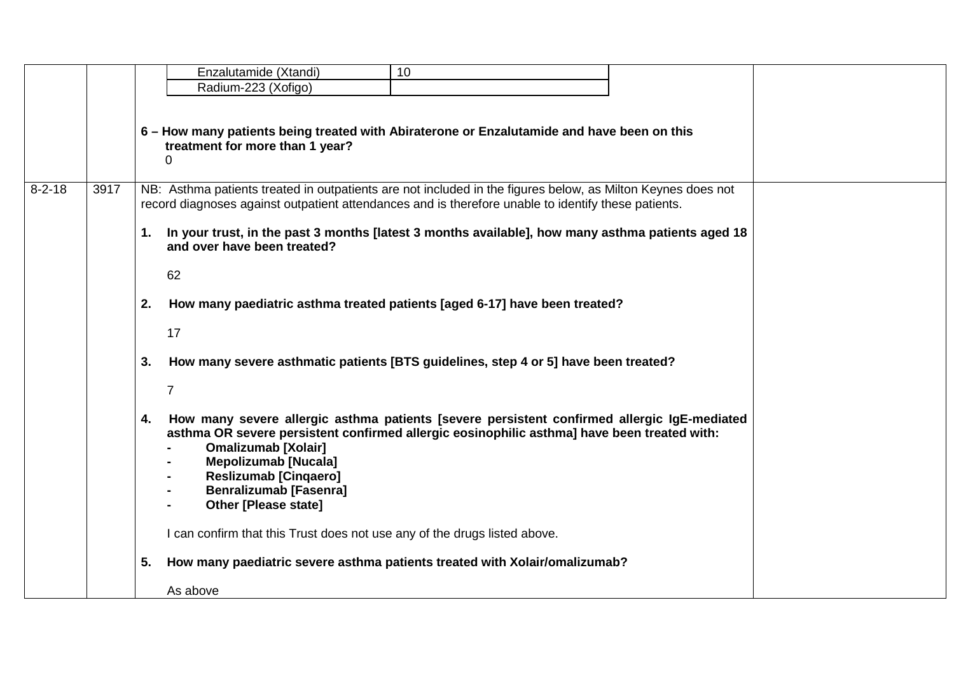|              |      |    | Enzalutamide (Xtandi)                                                                                                                                                                                                                                                                                                                                   | 10 |  |
|--------------|------|----|---------------------------------------------------------------------------------------------------------------------------------------------------------------------------------------------------------------------------------------------------------------------------------------------------------------------------------------------------------|----|--|
|              |      |    | Radium-223 (Xofigo)                                                                                                                                                                                                                                                                                                                                     |    |  |
|              |      |    |                                                                                                                                                                                                                                                                                                                                                         |    |  |
|              |      |    | 6 - How many patients being treated with Abiraterone or Enzalutamide and have been on this<br>treatment for more than 1 year?<br>$\Omega$                                                                                                                                                                                                               |    |  |
| $8 - 2 - 18$ | 3917 |    | NB: Asthma patients treated in outpatients are not included in the figures below, as Milton Keynes does not<br>record diagnoses against outpatient attendances and is therefore unable to identify these patients.                                                                                                                                      |    |  |
|              |      | 1. | In your trust, in the past 3 months [latest 3 months available], how many asthma patients aged 18<br>and over have been treated?                                                                                                                                                                                                                        |    |  |
|              |      |    | 62                                                                                                                                                                                                                                                                                                                                                      |    |  |
|              |      | 2. | How many paediatric asthma treated patients [aged 6-17] have been treated?                                                                                                                                                                                                                                                                              |    |  |
|              |      |    | 17                                                                                                                                                                                                                                                                                                                                                      |    |  |
|              |      | 3. | How many severe asthmatic patients [BTS guidelines, step 4 or 5] have been treated?                                                                                                                                                                                                                                                                     |    |  |
|              |      |    | $\overline{7}$                                                                                                                                                                                                                                                                                                                                          |    |  |
|              |      | 4. | How many severe allergic asthma patients [severe persistent confirmed allergic IgE-mediated<br>asthma OR severe persistent confirmed allergic eosinophilic asthma] have been treated with:<br><b>Omalizumab [Xolair]</b><br><b>Mepolizumab [Nucala]</b><br><b>Reslizumab [Cinqaero]</b><br><b>Benralizumab [Fasenra]</b><br><b>Other [Please state]</b> |    |  |
|              |      |    | I can confirm that this Trust does not use any of the drugs listed above.                                                                                                                                                                                                                                                                               |    |  |
|              |      | 5. | How many paediatric severe asthma patients treated with Xolair/omalizumab?                                                                                                                                                                                                                                                                              |    |  |
|              |      |    | As above                                                                                                                                                                                                                                                                                                                                                |    |  |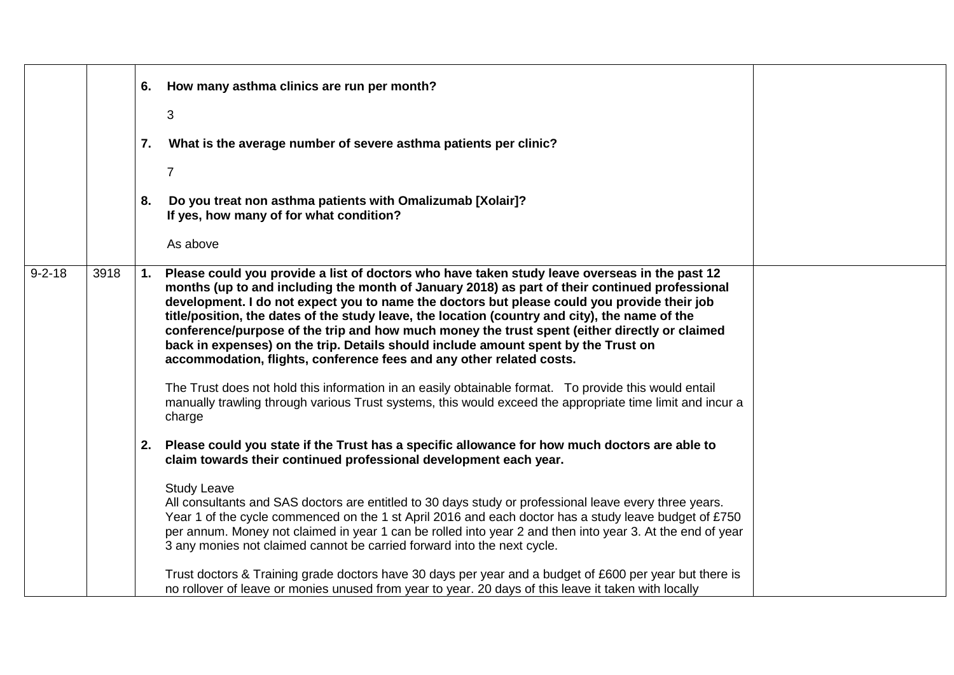|              |      |    | 6. How many asthma clinics are run per month?                                                                                                                                                                                                                                                                                                                                                                                                                                                                                                                                                                                                                      |  |
|--------------|------|----|--------------------------------------------------------------------------------------------------------------------------------------------------------------------------------------------------------------------------------------------------------------------------------------------------------------------------------------------------------------------------------------------------------------------------------------------------------------------------------------------------------------------------------------------------------------------------------------------------------------------------------------------------------------------|--|
|              |      |    | 3                                                                                                                                                                                                                                                                                                                                                                                                                                                                                                                                                                                                                                                                  |  |
|              |      | 7. | What is the average number of severe asthma patients per clinic?                                                                                                                                                                                                                                                                                                                                                                                                                                                                                                                                                                                                   |  |
|              |      |    | $\overline{7}$                                                                                                                                                                                                                                                                                                                                                                                                                                                                                                                                                                                                                                                     |  |
|              |      | 8. | Do you treat non asthma patients with Omalizumab [Xolair]?<br>If yes, how many of for what condition?                                                                                                                                                                                                                                                                                                                                                                                                                                                                                                                                                              |  |
|              |      |    | As above                                                                                                                                                                                                                                                                                                                                                                                                                                                                                                                                                                                                                                                           |  |
| $9 - 2 - 18$ | 3918 |    | 1. Please could you provide a list of doctors who have taken study leave overseas in the past 12<br>months (up to and including the month of January 2018) as part of their continued professional<br>development. I do not expect you to name the doctors but please could you provide their job<br>title/position, the dates of the study leave, the location (country and city), the name of the<br>conference/purpose of the trip and how much money the trust spent (either directly or claimed<br>back in expenses) on the trip. Details should include amount spent by the Trust on<br>accommodation, flights, conference fees and any other related costs. |  |
|              |      |    | The Trust does not hold this information in an easily obtainable format. To provide this would entail<br>manually trawling through various Trust systems, this would exceed the appropriate time limit and incur a<br>charge                                                                                                                                                                                                                                                                                                                                                                                                                                       |  |
|              |      |    | 2. Please could you state if the Trust has a specific allowance for how much doctors are able to<br>claim towards their continued professional development each year.                                                                                                                                                                                                                                                                                                                                                                                                                                                                                              |  |
|              |      |    | <b>Study Leave</b><br>All consultants and SAS doctors are entitled to 30 days study or professional leave every three years.<br>Year 1 of the cycle commenced on the 1 st April 2016 and each doctor has a study leave budget of £750<br>per annum. Money not claimed in year 1 can be rolled into year 2 and then into year 3. At the end of year<br>3 any monies not claimed cannot be carried forward into the next cycle.                                                                                                                                                                                                                                      |  |
|              |      |    | Trust doctors & Training grade doctors have 30 days per year and a budget of £600 per year but there is<br>no rollover of leave or monies unused from year to year. 20 days of this leave it taken with locally                                                                                                                                                                                                                                                                                                                                                                                                                                                    |  |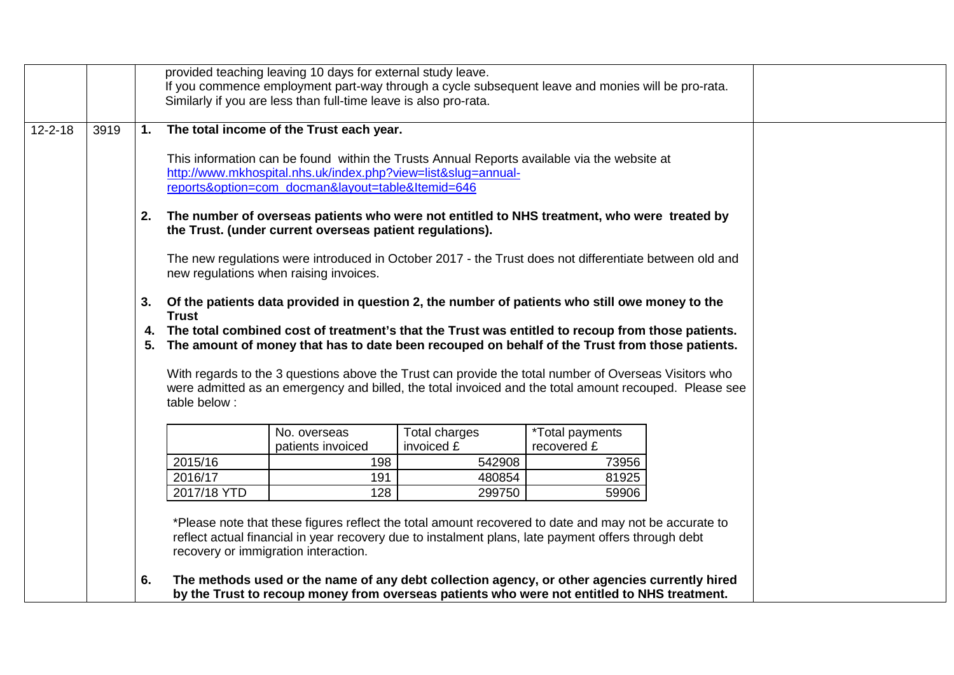|               |      |    |              | provided teaching leaving 10 days for external study leave.<br>If you commence employment part-way through a cycle subsequent leave and monies will be pro-rata.                                                                                     |                             |                                |  |
|---------------|------|----|--------------|------------------------------------------------------------------------------------------------------------------------------------------------------------------------------------------------------------------------------------------------------|-----------------------------|--------------------------------|--|
|               |      |    |              | Similarly if you are less than full-time leave is also pro-rata.                                                                                                                                                                                     |                             |                                |  |
|               |      |    |              |                                                                                                                                                                                                                                                      |                             |                                |  |
| $12 - 2 - 18$ | 3919 | 1. |              | The total income of the Trust each year.                                                                                                                                                                                                             |                             |                                |  |
|               |      |    |              | This information can be found within the Trusts Annual Reports available via the website at                                                                                                                                                          |                             |                                |  |
|               |      |    |              | http://www.mkhospital.nhs.uk/index.php?view=list&slug=annual-                                                                                                                                                                                        |                             |                                |  |
|               |      |    |              | reports&option=com docman&layout=table&Itemid=646                                                                                                                                                                                                    |                             |                                |  |
|               |      |    |              | 2. The number of overseas patients who were not entitled to NHS treatment, who were treated by<br>the Trust. (under current overseas patient regulations).                                                                                           |                             |                                |  |
|               |      |    |              | The new regulations were introduced in October 2017 - the Trust does not differentiate between old and<br>new regulations when raising invoices.                                                                                                     |                             |                                |  |
|               |      |    | <b>Trust</b> | 3. Of the patients data provided in question 2, the number of patients who still owe money to the                                                                                                                                                    |                             |                                |  |
|               |      | 5. |              | 4. The total combined cost of treatment's that the Trust was entitled to recoup from those patients.<br>The amount of money that has to date been recouped on behalf of the Trust from those patients.                                               |                             |                                |  |
|               |      |    | table below: | With regards to the 3 questions above the Trust can provide the total number of Overseas Visitors who<br>were admitted as an emergency and billed, the total invoiced and the total amount recouped. Please see                                      |                             |                                |  |
|               |      |    |              | No. overseas<br>patients invoiced                                                                                                                                                                                                                    | Total charges<br>invoiced £ | *Total payments<br>recovered £ |  |
|               |      |    | 2015/16      | 198                                                                                                                                                                                                                                                  | 542908                      | 73956                          |  |
|               |      |    | 2016/17      | 191                                                                                                                                                                                                                                                  | 480854                      | 81925                          |  |
|               |      |    | 2017/18 YTD  | 128                                                                                                                                                                                                                                                  | 299750                      | 59906                          |  |
|               |      |    |              | *Please note that these figures reflect the total amount recovered to date and may not be accurate to<br>reflect actual financial in year recovery due to instalment plans, late payment offers through debt<br>recovery or immigration interaction. |                             |                                |  |
|               |      | 6. |              | The methods used or the name of any debt collection agency, or other agencies currently hired<br>by the Trust to recoup money from overseas patients who were not entitled to NHS treatment.                                                         |                             |                                |  |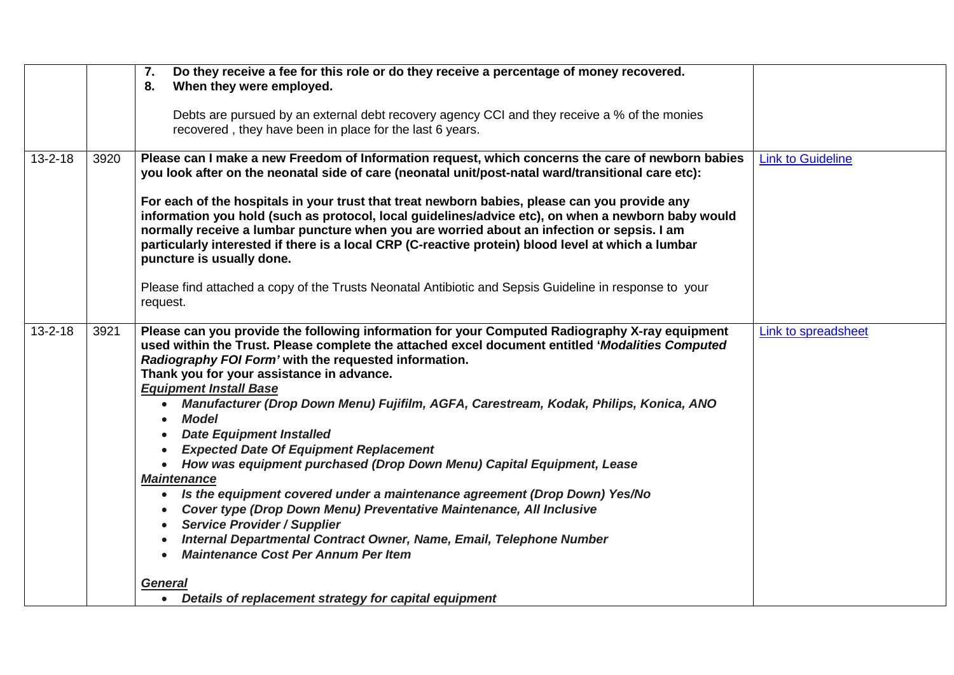|               |      | Do they receive a fee for this role or do they receive a percentage of money recovered.<br>7.<br>8.<br>When they were employed.                                                                                                                                                                                                                                                                                                                                                                                                                                                                                                                                                                                                                                                                                                                                                                                                                                                                                                                   |                          |
|---------------|------|---------------------------------------------------------------------------------------------------------------------------------------------------------------------------------------------------------------------------------------------------------------------------------------------------------------------------------------------------------------------------------------------------------------------------------------------------------------------------------------------------------------------------------------------------------------------------------------------------------------------------------------------------------------------------------------------------------------------------------------------------------------------------------------------------------------------------------------------------------------------------------------------------------------------------------------------------------------------------------------------------------------------------------------------------|--------------------------|
|               |      | Debts are pursued by an external debt recovery agency CCI and they receive a % of the monies<br>recovered, they have been in place for the last 6 years.                                                                                                                                                                                                                                                                                                                                                                                                                                                                                                                                                                                                                                                                                                                                                                                                                                                                                          |                          |
| $13 - 2 - 18$ | 3920 | Please can I make a new Freedom of Information request, which concerns the care of newborn babies<br>you look after on the neonatal side of care (neonatal unit/post-natal ward/transitional care etc):<br>For each of the hospitals in your trust that treat newborn babies, please can you provide any<br>information you hold (such as protocol, local guidelines/advice etc), on when a newborn baby would<br>normally receive a lumbar puncture when you are worried about an infection or sepsis. I am<br>particularly interested if there is a local CRP (C-reactive protein) blood level at which a lumbar<br>puncture is usually done.                                                                                                                                                                                                                                                                                                                                                                                                   | <b>Link to Guideline</b> |
|               |      | Please find attached a copy of the Trusts Neonatal Antibiotic and Sepsis Guideline in response to your<br>request.                                                                                                                                                                                                                                                                                                                                                                                                                                                                                                                                                                                                                                                                                                                                                                                                                                                                                                                                |                          |
| $13 - 2 - 18$ | 3921 | Please can you provide the following information for your Computed Radiography X-ray equipment<br>used within the Trust. Please complete the attached excel document entitled 'Modalities Computed<br>Radiography FOI Form' with the requested information.<br>Thank you for your assistance in advance.<br><b>Equipment Install Base</b><br>Manufacturer (Drop Down Menu) Fujifilm, AGFA, Carestream, Kodak, Philips, Konica, ANO<br><b>Model</b><br>$\bullet$<br><b>Date Equipment Installed</b><br>$\bullet$<br><b>Expected Date Of Equipment Replacement</b><br>• How was equipment purchased (Drop Down Menu) Capital Equipment, Lease<br><b>Maintenance</b><br>Is the equipment covered under a maintenance agreement (Drop Down) Yes/No<br>$\bullet$<br>Cover type (Drop Down Menu) Preventative Maintenance, All Inclusive<br>$\bullet$<br><b>Service Provider / Supplier</b><br>$\bullet$<br>Internal Departmental Contract Owner, Name, Email, Telephone Number<br>$\bullet$<br><b>Maintenance Cost Per Annum Per Item</b><br>$\bullet$ | Link to spreadsheet      |
|               |      | <b>General</b><br>• Details of replacement strategy for capital equipment                                                                                                                                                                                                                                                                                                                                                                                                                                                                                                                                                                                                                                                                                                                                                                                                                                                                                                                                                                         |                          |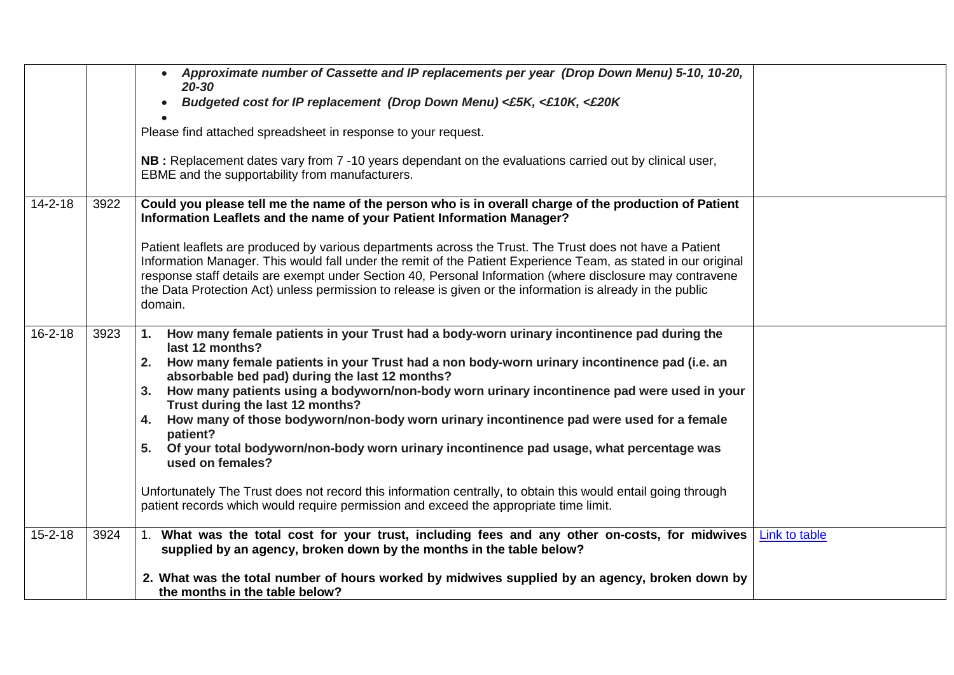|               |      | Approximate number of Cassette and IP replacements per year (Drop Down Menu) 5-10, 10-20,<br>$\bullet$<br>20-30<br>Budgeted cost for IP replacement (Drop Down Menu) <£5K, <£10K, <£20K<br>$\bullet$<br>Please find attached spreadsheet in response to your request.<br>NB : Replacement dates vary from 7 -10 years dependant on the evaluations carried out by clinical user,<br>EBME and the supportability from manufacturers.                                                                                                                                                                                                                                                                                                                                                                                                                                |
|---------------|------|--------------------------------------------------------------------------------------------------------------------------------------------------------------------------------------------------------------------------------------------------------------------------------------------------------------------------------------------------------------------------------------------------------------------------------------------------------------------------------------------------------------------------------------------------------------------------------------------------------------------------------------------------------------------------------------------------------------------------------------------------------------------------------------------------------------------------------------------------------------------|
| $14 - 2 - 18$ | 3922 | Could you please tell me the name of the person who is in overall charge of the production of Patient<br>Information Leaflets and the name of your Patient Information Manager?<br>Patient leaflets are produced by various departments across the Trust. The Trust does not have a Patient<br>Information Manager. This would fall under the remit of the Patient Experience Team, as stated in our original<br>response staff details are exempt under Section 40, Personal Information (where disclosure may contravene<br>the Data Protection Act) unless permission to release is given or the information is already in the public<br>domain.                                                                                                                                                                                                                |
| $16 - 2 - 18$ | 3923 | How many female patients in your Trust had a body-worn urinary incontinence pad during the<br>1.<br>last 12 months?<br>How many female patients in your Trust had a non body-worn urinary incontinence pad (i.e. an<br>2.<br>absorbable bed pad) during the last 12 months?<br>How many patients using a bodyworn/non-body worn urinary incontinence pad were used in your<br>3.<br>Trust during the last 12 months?<br>How many of those bodyworn/non-body worn urinary incontinence pad were used for a female<br>4.<br>patient?<br>Of your total bodyworn/non-body worn urinary incontinence pad usage, what percentage was<br>5.<br>used on females?<br>Unfortunately The Trust does not record this information centrally, to obtain this would entail going through<br>patient records which would require permission and exceed the appropriate time limit. |
| $15 - 2 - 18$ | 3924 | 1. What was the total cost for your trust, including fees and any other on-costs, for midwives<br>Link to table<br>supplied by an agency, broken down by the months in the table below?<br>2. What was the total number of hours worked by midwives supplied by an agency, broken down by<br>the months in the table below?                                                                                                                                                                                                                                                                                                                                                                                                                                                                                                                                        |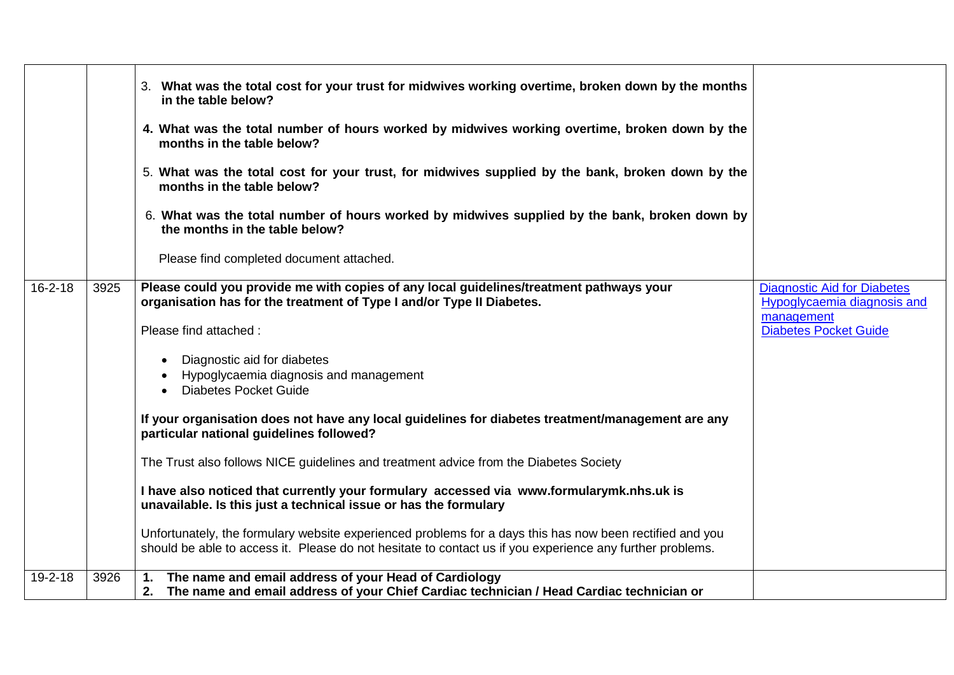|               |      | 3. What was the total cost for your trust for midwives working overtime, broken down by the months<br>in the table below?                                                                                             |                                    |
|---------------|------|-----------------------------------------------------------------------------------------------------------------------------------------------------------------------------------------------------------------------|------------------------------------|
|               |      | 4. What was the total number of hours worked by midwives working overtime, broken down by the<br>months in the table below?                                                                                           |                                    |
|               |      | 5. What was the total cost for your trust, for midwives supplied by the bank, broken down by the<br>months in the table below?                                                                                        |                                    |
|               |      | 6. What was the total number of hours worked by midwives supplied by the bank, broken down by<br>the months in the table below?                                                                                       |                                    |
|               |      | Please find completed document attached.                                                                                                                                                                              |                                    |
| $16 - 2 - 18$ | 3925 | Please could you provide me with copies of any local guidelines/treatment pathways your                                                                                                                               | <b>Diagnostic Aid for Diabetes</b> |
|               |      | organisation has for the treatment of Type I and/or Type II Diabetes.                                                                                                                                                 | Hypoglycaemia diagnosis and        |
|               |      |                                                                                                                                                                                                                       | management                         |
|               |      | Please find attached :                                                                                                                                                                                                | <b>Diabetes Pocket Guide</b>       |
|               |      |                                                                                                                                                                                                                       |                                    |
|               |      | Diagnostic aid for diabetes<br>$\bullet$                                                                                                                                                                              |                                    |
|               |      | Hypoglycaemia diagnosis and management                                                                                                                                                                                |                                    |
|               |      | Diabetes Pocket Guide<br>$\bullet$                                                                                                                                                                                    |                                    |
|               |      | If your organisation does not have any local guidelines for diabetes treatment/management are any<br>particular national guidelines followed?                                                                         |                                    |
|               |      | The Trust also follows NICE guidelines and treatment advice from the Diabetes Society                                                                                                                                 |                                    |
|               |      | I have also noticed that currently your formulary accessed via www.formularymk.nhs.uk is<br>unavailable. Is this just a technical issue or has the formulary                                                          |                                    |
|               |      | Unfortunately, the formulary website experienced problems for a days this has now been rectified and you<br>should be able to access it. Please do not hesitate to contact us if you experience any further problems. |                                    |
| $19 - 2 - 18$ | 3926 | The name and email address of your Head of Cardiology<br>1.                                                                                                                                                           |                                    |
|               |      | The name and email address of your Chief Cardiac technician / Head Cardiac technician or<br>2.                                                                                                                        |                                    |
|               |      |                                                                                                                                                                                                                       |                                    |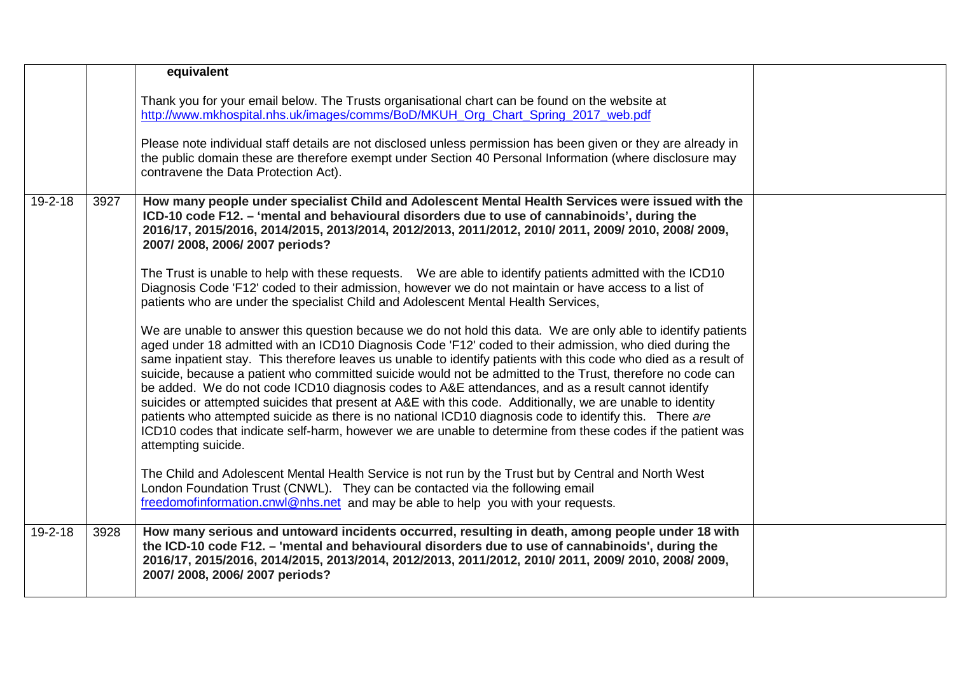|               |      | equivalent                                                                                                                                                                                                                                                                                                                                                                                                                                                                                                                                                                                                                                                                                                                                                                                                                                                                                                                      |  |
|---------------|------|---------------------------------------------------------------------------------------------------------------------------------------------------------------------------------------------------------------------------------------------------------------------------------------------------------------------------------------------------------------------------------------------------------------------------------------------------------------------------------------------------------------------------------------------------------------------------------------------------------------------------------------------------------------------------------------------------------------------------------------------------------------------------------------------------------------------------------------------------------------------------------------------------------------------------------|--|
|               |      | Thank you for your email below. The Trusts organisational chart can be found on the website at<br>http://www.mkhospital.nhs.uk/images/comms/BoD/MKUH Org Chart Spring 2017 web.pdf                                                                                                                                                                                                                                                                                                                                                                                                                                                                                                                                                                                                                                                                                                                                              |  |
|               |      | Please note individual staff details are not disclosed unless permission has been given or they are already in<br>the public domain these are therefore exempt under Section 40 Personal Information (where disclosure may<br>contravene the Data Protection Act).                                                                                                                                                                                                                                                                                                                                                                                                                                                                                                                                                                                                                                                              |  |
| $19 - 2 - 18$ | 3927 | How many people under specialist Child and Adolescent Mental Health Services were issued with the<br>ICD-10 code F12. - 'mental and behavioural disorders due to use of cannabinoids', during the<br>2016/17, 2015/2016, 2014/2015, 2013/2014, 2012/2013, 2011/2012, 2010/ 2011, 2009/ 2010, 2008/ 2009,<br>2007/2008, 2006/2007 periods?                                                                                                                                                                                                                                                                                                                                                                                                                                                                                                                                                                                       |  |
|               |      | The Trust is unable to help with these requests. We are able to identify patients admitted with the ICD10<br>Diagnosis Code 'F12' coded to their admission, however we do not maintain or have access to a list of<br>patients who are under the specialist Child and Adolescent Mental Health Services,                                                                                                                                                                                                                                                                                                                                                                                                                                                                                                                                                                                                                        |  |
|               |      | We are unable to answer this question because we do not hold this data. We are only able to identify patients<br>aged under 18 admitted with an ICD10 Diagnosis Code 'F12' coded to their admission, who died during the<br>same inpatient stay. This therefore leaves us unable to identify patients with this code who died as a result of<br>suicide, because a patient who committed suicide would not be admitted to the Trust, therefore no code can<br>be added. We do not code ICD10 diagnosis codes to A&E attendances, and as a result cannot identify<br>suicides or attempted suicides that present at A&E with this code. Additionally, we are unable to identity<br>patients who attempted suicide as there is no national ICD10 diagnosis code to identify this. There are<br>ICD10 codes that indicate self-harm, however we are unable to determine from these codes if the patient was<br>attempting suicide. |  |
|               |      | The Child and Adolescent Mental Health Service is not run by the Trust but by Central and North West<br>London Foundation Trust (CNWL). They can be contacted via the following email<br>freedomofinformation.cnwl@nhs.net and may be able to help you with your requests.                                                                                                                                                                                                                                                                                                                                                                                                                                                                                                                                                                                                                                                      |  |
| $19 - 2 - 18$ | 3928 | How many serious and untoward incidents occurred, resulting in death, among people under 18 with<br>the ICD-10 code F12. - 'mental and behavioural disorders due to use of cannabinoids', during the<br>2016/17, 2015/2016, 2014/2015, 2013/2014, 2012/2013, 2011/2012, 2010/ 2011, 2009/ 2010, 2008/ 2009,<br>2007/2008, 2006/2007 periods?                                                                                                                                                                                                                                                                                                                                                                                                                                                                                                                                                                                    |  |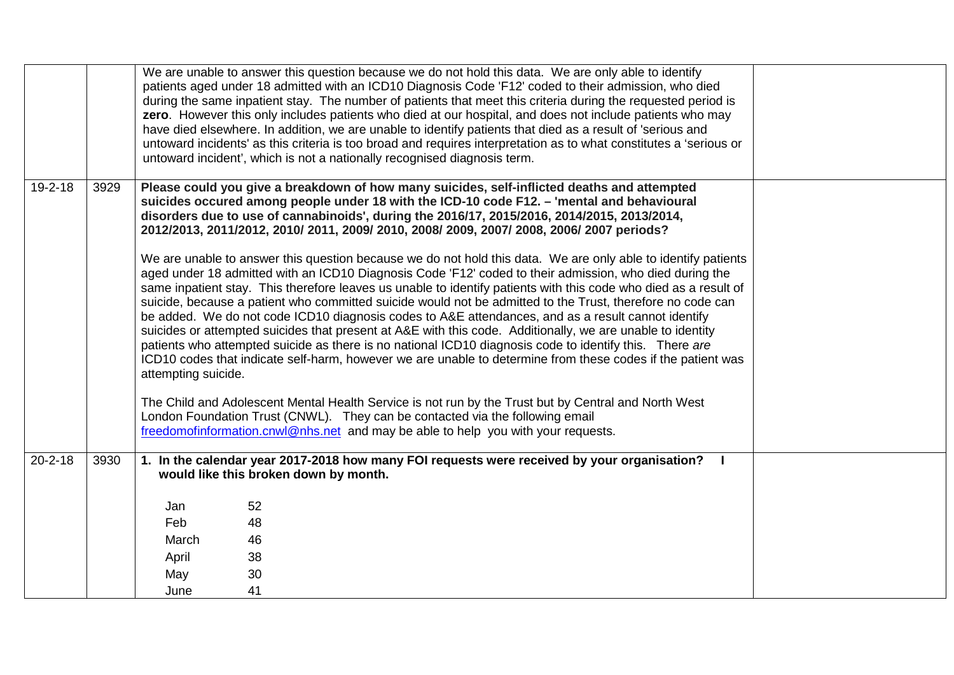|               |      | We are unable to answer this question because we do not hold this data. We are only able to identify<br>patients aged under 18 admitted with an ICD10 Diagnosis Code 'F12' coded to their admission, who died<br>during the same inpatient stay. The number of patients that meet this criteria during the requested period is<br>zero. However this only includes patients who died at our hospital, and does not include patients who may<br>have died elsewhere. In addition, we are unable to identify patients that died as a result of 'serious and<br>untoward incidents' as this criteria is too broad and requires interpretation as to what constitutes a 'serious or<br>untoward incident', which is not a nationally recognised diagnosis term.                                                                                                                                                                                                                                                                                                                                                                                                                                                                                                                                                                                                                                                                                                                                                                                                                                            |  |
|---------------|------|--------------------------------------------------------------------------------------------------------------------------------------------------------------------------------------------------------------------------------------------------------------------------------------------------------------------------------------------------------------------------------------------------------------------------------------------------------------------------------------------------------------------------------------------------------------------------------------------------------------------------------------------------------------------------------------------------------------------------------------------------------------------------------------------------------------------------------------------------------------------------------------------------------------------------------------------------------------------------------------------------------------------------------------------------------------------------------------------------------------------------------------------------------------------------------------------------------------------------------------------------------------------------------------------------------------------------------------------------------------------------------------------------------------------------------------------------------------------------------------------------------------------------------------------------------------------------------------------------------|--|
| 19-2-18       | 3929 | Please could you give a breakdown of how many suicides, self-inflicted deaths and attempted<br>suicides occured among people under 18 with the ICD-10 code F12. - 'mental and behavioural<br>disorders due to use of cannabinoids', during the 2016/17, 2015/2016, 2014/2015, 2013/2014,<br>2012/2013, 2011/2012, 2010/ 2011, 2009/ 2010, 2008/ 2009, 2007/ 2008, 2006/ 2007 periods?<br>We are unable to answer this question because we do not hold this data. We are only able to identify patients<br>aged under 18 admitted with an ICD10 Diagnosis Code 'F12' coded to their admission, who died during the<br>same inpatient stay. This therefore leaves us unable to identify patients with this code who died as a result of<br>suicide, because a patient who committed suicide would not be admitted to the Trust, therefore no code can<br>be added. We do not code ICD10 diagnosis codes to A&E attendances, and as a result cannot identify<br>suicides or attempted suicides that present at A&E with this code. Additionally, we are unable to identity<br>patients who attempted suicide as there is no national ICD10 diagnosis code to identify this. There are<br>ICD10 codes that indicate self-harm, however we are unable to determine from these codes if the patient was<br>attempting suicide.<br>The Child and Adolescent Mental Health Service is not run by the Trust but by Central and North West<br>London Foundation Trust (CNWL). They can be contacted via the following email<br>freedomofinformation.cnwl@nhs.net and may be able to help you with your requests. |  |
| $20 - 2 - 18$ | 3930 | 1. In the calendar year 2017-2018 how many FOI requests were received by your organisation? I<br>would like this broken down by month.<br>52<br>Jan<br>Feb<br>48<br>March<br>46<br>38<br>April<br>30<br>May                                                                                                                                                                                                                                                                                                                                                                                                                                                                                                                                                                                                                                                                                                                                                                                                                                                                                                                                                                                                                                                                                                                                                                                                                                                                                                                                                                                            |  |
|               |      | 41<br>June                                                                                                                                                                                                                                                                                                                                                                                                                                                                                                                                                                                                                                                                                                                                                                                                                                                                                                                                                                                                                                                                                                                                                                                                                                                                                                                                                                                                                                                                                                                                                                                             |  |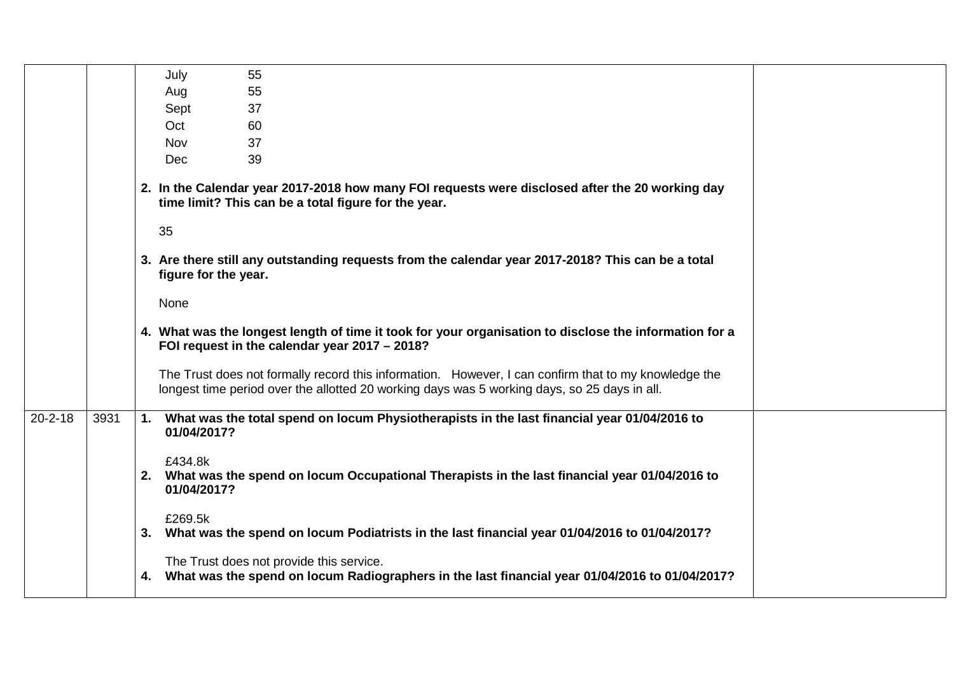|               |      | 55<br>July                                                                                                                                                                                           |  |
|---------------|------|------------------------------------------------------------------------------------------------------------------------------------------------------------------------------------------------------|--|
|               |      | 55<br>Aug                                                                                                                                                                                            |  |
|               |      | 37<br>Sept                                                                                                                                                                                           |  |
|               |      | Oct<br>60                                                                                                                                                                                            |  |
|               |      | 37<br>Nov                                                                                                                                                                                            |  |
|               |      | 39<br>Dec                                                                                                                                                                                            |  |
|               |      | 2. In the Calendar year 2017-2018 how many FOI requests were disclosed after the 20 working day<br>time limit? This can be a total figure for the year.                                              |  |
|               |      | 35                                                                                                                                                                                                   |  |
|               |      | 3. Are there still any outstanding requests from the calendar year 2017-2018? This can be a total<br>figure for the year.                                                                            |  |
|               |      | None                                                                                                                                                                                                 |  |
|               |      | 4. What was the longest length of time it took for your organisation to disclose the information for a<br>FOI request in the calendar year 2017 - 2018?                                              |  |
|               |      | The Trust does not formally record this information. However, I can confirm that to my knowledge the<br>longest time period over the allotted 20 working days was 5 working days, so 25 days in all. |  |
| $20 - 2 - 18$ | 3931 | 1. What was the total spend on locum Physiotherapists in the last financial year 01/04/2016 to<br>01/04/2017?                                                                                        |  |
|               |      | £434.8k<br>2. What was the spend on locum Occupational Therapists in the last financial year 01/04/2016 to<br>01/04/2017?                                                                            |  |
|               |      | £269.5k<br>3. What was the spend on locum Podiatrists in the last financial year 01/04/2016 to 01/04/2017?                                                                                           |  |
|               |      | The Trust does not provide this service.<br>4. What was the spend on locum Radiographers in the last financial year 01/04/2016 to 01/04/2017?                                                        |  |
|               |      |                                                                                                                                                                                                      |  |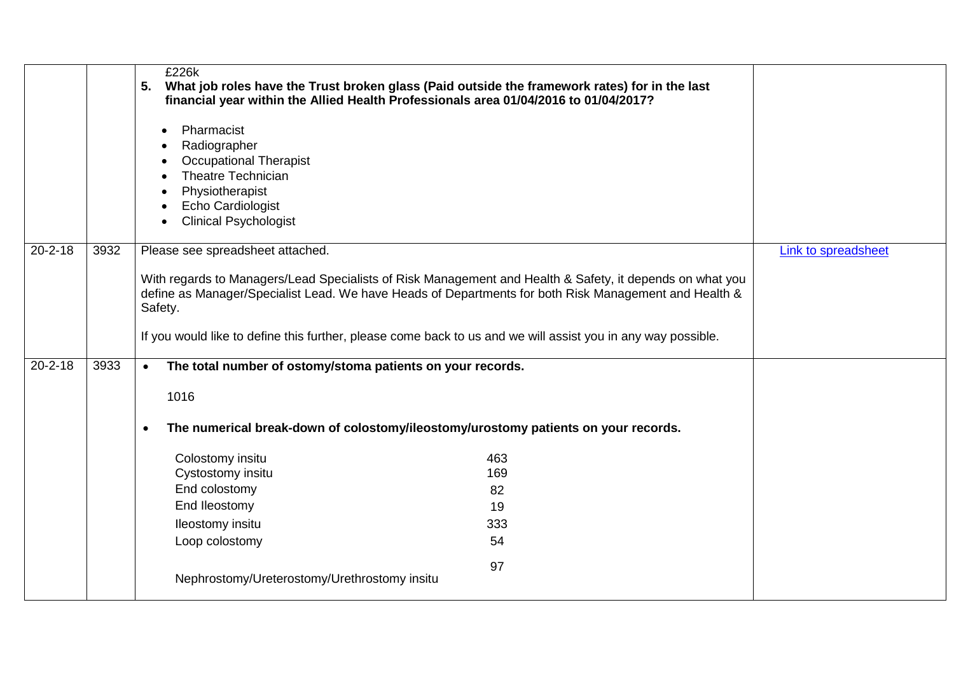|               |      | £226k<br>5.<br>Pharmacist<br>$\bullet$<br>Radiographer<br>$\bullet$<br><b>Occupational Therapist</b><br><b>Theatre Technician</b><br>Physiotherapist<br>Echo Cardiologist<br>$\bullet$<br><b>Clinical Psychologist</b> | What job roles have the Trust broken glass (Paid outside the framework rates) for in the last<br>financial year within the Allied Health Professionals area 01/04/2016 to 01/04/2017?                             |                     |
|---------------|------|------------------------------------------------------------------------------------------------------------------------------------------------------------------------------------------------------------------------|-------------------------------------------------------------------------------------------------------------------------------------------------------------------------------------------------------------------|---------------------|
| $20 - 2 - 18$ | 3932 | Please see spreadsheet attached.                                                                                                                                                                                       |                                                                                                                                                                                                                   | Link to spreadsheet |
|               |      | Safety.                                                                                                                                                                                                                | With regards to Managers/Lead Specialists of Risk Management and Health & Safety, it depends on what you<br>define as Manager/Specialist Lead. We have Heads of Departments for both Risk Management and Health & |                     |
|               |      |                                                                                                                                                                                                                        | If you would like to define this further, please come back to us and we will assist you in any way possible.                                                                                                      |                     |
| $20 - 2 - 18$ | 3933 | The total number of ostomy/stoma patients on your records.<br>$\bullet$                                                                                                                                                |                                                                                                                                                                                                                   |                     |
|               |      | 1016                                                                                                                                                                                                                   |                                                                                                                                                                                                                   |                     |
|               |      |                                                                                                                                                                                                                        | The numerical break-down of colostomy/ileostomy/urostomy patients on your records.                                                                                                                                |                     |
|               |      | Colostomy insitu                                                                                                                                                                                                       | 463                                                                                                                                                                                                               |                     |
|               |      | Cystostomy insitu                                                                                                                                                                                                      | 169                                                                                                                                                                                                               |                     |
|               |      | End colostomy                                                                                                                                                                                                          | 82                                                                                                                                                                                                                |                     |
|               |      | End Ileostomy                                                                                                                                                                                                          | 19                                                                                                                                                                                                                |                     |
|               |      | Ileostomy insitu<br>Loop colostomy                                                                                                                                                                                     | 333<br>54                                                                                                                                                                                                         |                     |
|               |      |                                                                                                                                                                                                                        |                                                                                                                                                                                                                   |                     |
|               |      | Nephrostomy/Ureterostomy/Urethrostomy insitu                                                                                                                                                                           | 97                                                                                                                                                                                                                |                     |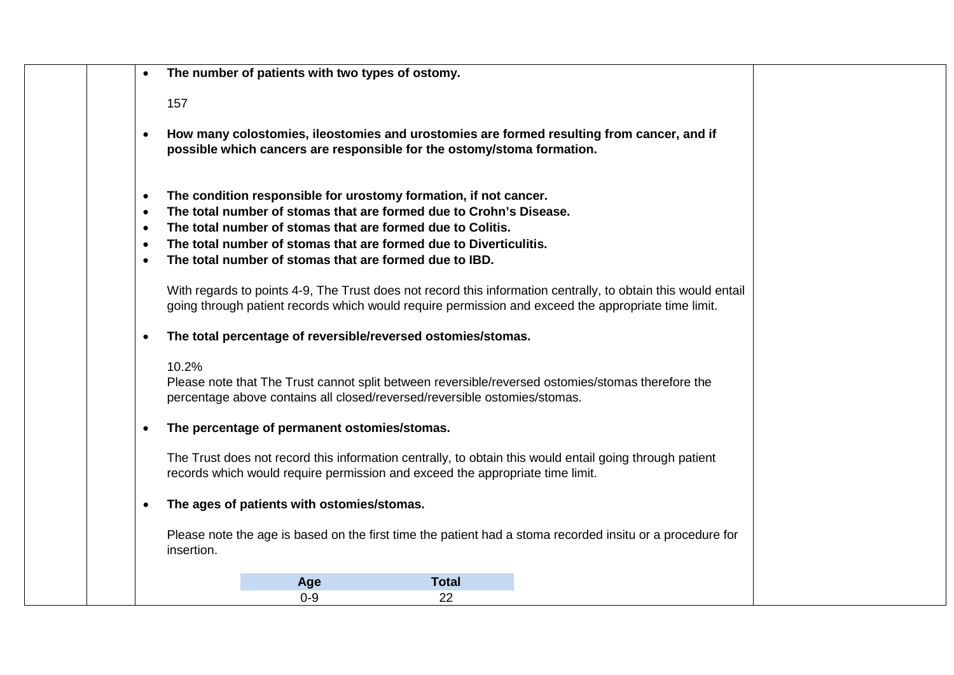| $\bullet$                                                     |            | The number of patients with two types of ostomy.                                                                                                                                                                                                                                                                                    |              |                                                                                                                                                                                                                      |  |
|---------------------------------------------------------------|------------|-------------------------------------------------------------------------------------------------------------------------------------------------------------------------------------------------------------------------------------------------------------------------------------------------------------------------------------|--------------|----------------------------------------------------------------------------------------------------------------------------------------------------------------------------------------------------------------------|--|
|                                                               | 157        |                                                                                                                                                                                                                                                                                                                                     |              |                                                                                                                                                                                                                      |  |
| $\bullet$                                                     |            | possible which cancers are responsible for the ostomy/stoma formation.                                                                                                                                                                                                                                                              |              | How many colostomies, ileostomies and urostomies are formed resulting from cancer, and if                                                                                                                            |  |
| $\bullet$<br>$\bullet$<br>$\bullet$<br>$\bullet$<br>$\bullet$ |            | The condition responsible for urostomy formation, if not cancer.<br>The total number of stomas that are formed due to Crohn's Disease.<br>The total number of stomas that are formed due to Colitis.<br>The total number of stomas that are formed due to Diverticulitis.<br>The total number of stomas that are formed due to IBD. |              |                                                                                                                                                                                                                      |  |
|                                                               |            |                                                                                                                                                                                                                                                                                                                                     |              | With regards to points 4-9, The Trust does not record this information centrally, to obtain this would entail<br>going through patient records which would require permission and exceed the appropriate time limit. |  |
| $\bullet$                                                     |            | The total percentage of reversible/reversed ostomies/stomas.                                                                                                                                                                                                                                                                        |              |                                                                                                                                                                                                                      |  |
|                                                               | 10.2%      | percentage above contains all closed/reversed/reversible ostomies/stomas.                                                                                                                                                                                                                                                           |              | Please note that The Trust cannot split between reversible/reversed ostomies/stomas therefore the                                                                                                                    |  |
| $\bullet$                                                     |            | The percentage of permanent ostomies/stomas.                                                                                                                                                                                                                                                                                        |              |                                                                                                                                                                                                                      |  |
|                                                               |            | records which would require permission and exceed the appropriate time limit.                                                                                                                                                                                                                                                       |              | The Trust does not record this information centrally, to obtain this would entail going through patient                                                                                                              |  |
| $\bullet$                                                     |            | The ages of patients with ostomies/stomas.                                                                                                                                                                                                                                                                                          |              |                                                                                                                                                                                                                      |  |
|                                                               | insertion. |                                                                                                                                                                                                                                                                                                                                     |              | Please note the age is based on the first time the patient had a stoma recorded insitu or a procedure for                                                                                                            |  |
|                                                               |            | Age                                                                                                                                                                                                                                                                                                                                 | <b>Total</b> |                                                                                                                                                                                                                      |  |
|                                                               |            | $0-9$                                                                                                                                                                                                                                                                                                                               | 22           |                                                                                                                                                                                                                      |  |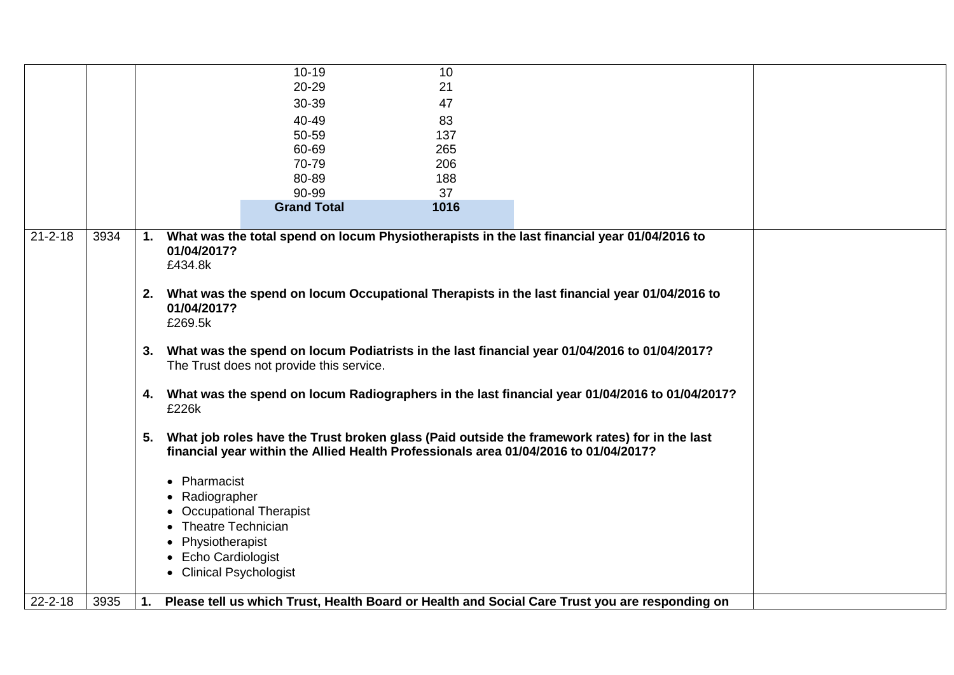|               |      |                            |                                                                                                                                                                                             | $10 - 19$                                                                                                                                                         | 10   |                                                                                                                                                                                                                                                                                                                                                                                                                                                                                                |
|---------------|------|----------------------------|---------------------------------------------------------------------------------------------------------------------------------------------------------------------------------------------|-------------------------------------------------------------------------------------------------------------------------------------------------------------------|------|------------------------------------------------------------------------------------------------------------------------------------------------------------------------------------------------------------------------------------------------------------------------------------------------------------------------------------------------------------------------------------------------------------------------------------------------------------------------------------------------|
|               |      |                            |                                                                                                                                                                                             | 20-29                                                                                                                                                             | 21   |                                                                                                                                                                                                                                                                                                                                                                                                                                                                                                |
|               |      |                            |                                                                                                                                                                                             | 30-39                                                                                                                                                             | 47   |                                                                                                                                                                                                                                                                                                                                                                                                                                                                                                |
|               |      |                            |                                                                                                                                                                                             | 40-49                                                                                                                                                             | 83   |                                                                                                                                                                                                                                                                                                                                                                                                                                                                                                |
|               |      |                            |                                                                                                                                                                                             | 50-59                                                                                                                                                             | 137  |                                                                                                                                                                                                                                                                                                                                                                                                                                                                                                |
|               |      |                            |                                                                                                                                                                                             | 60-69                                                                                                                                                             | 265  |                                                                                                                                                                                                                                                                                                                                                                                                                                                                                                |
|               |      |                            |                                                                                                                                                                                             | 70-79                                                                                                                                                             | 206  |                                                                                                                                                                                                                                                                                                                                                                                                                                                                                                |
|               |      |                            |                                                                                                                                                                                             | 80-89                                                                                                                                                             | 188  |                                                                                                                                                                                                                                                                                                                                                                                                                                                                                                |
|               |      |                            |                                                                                                                                                                                             | 90-99                                                                                                                                                             | 37   |                                                                                                                                                                                                                                                                                                                                                                                                                                                                                                |
|               |      |                            |                                                                                                                                                                                             | <b>Grand Total</b>                                                                                                                                                | 1016 |                                                                                                                                                                                                                                                                                                                                                                                                                                                                                                |
| $21 - 2 - 18$ | 3934 | 1.<br>2.<br>3.<br>4.<br>5. | 01/04/2017?<br>£434.8k<br>01/04/2017?<br>£269.5k<br>£226k<br>• Pharmacist<br>Radiographer<br><b>Theatre Technician</b><br>Physiotherapist<br>• Echo Cardiologist<br>• Clinical Psychologist | The Trust does not provide this service.<br>financial year within the Allied Health Professionals area 01/04/2016 to 01/04/2017?<br><b>Occupational Therapist</b> |      | What was the total spend on locum Physiotherapists in the last financial year 01/04/2016 to<br>What was the spend on locum Occupational Therapists in the last financial year 01/04/2016 to<br>What was the spend on locum Podiatrists in the last financial year 01/04/2016 to 01/04/2017?<br>What was the spend on locum Radiographers in the last financial year 01/04/2016 to 01/04/2017?<br>What job roles have the Trust broken glass (Paid outside the framework rates) for in the last |
| $22 - 2 - 18$ | 3935 | 1.                         |                                                                                                                                                                                             |                                                                                                                                                                   |      | Please tell us which Trust, Health Board or Health and Social Care Trust you are responding on                                                                                                                                                                                                                                                                                                                                                                                                 |
|               |      |                            |                                                                                                                                                                                             |                                                                                                                                                                   |      |                                                                                                                                                                                                                                                                                                                                                                                                                                                                                                |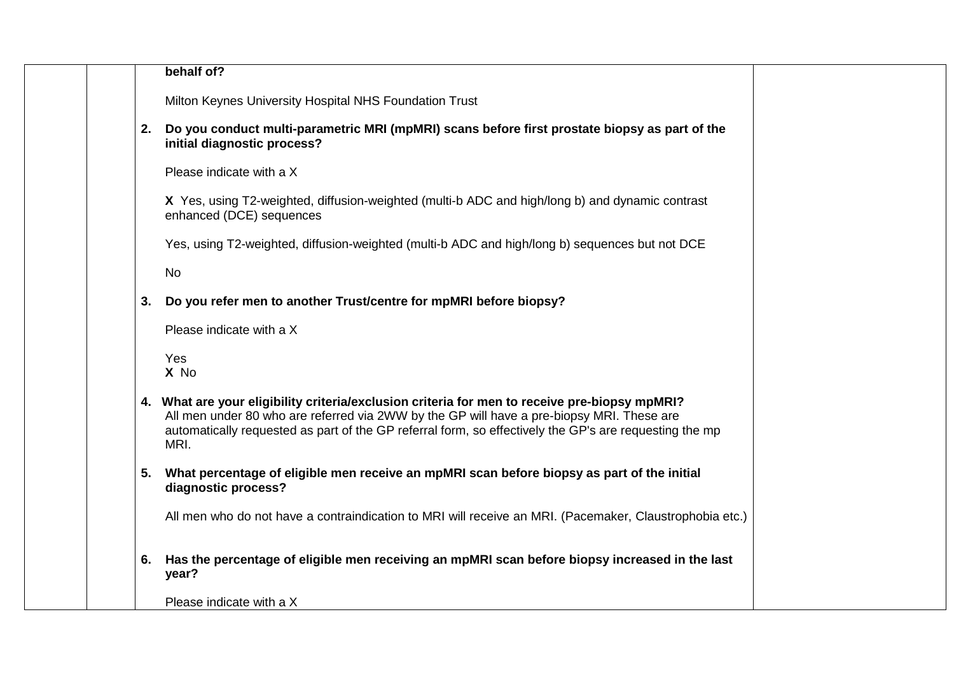|    | behalf of?                                                                                                                                                                                                                                                                                                   |  |
|----|--------------------------------------------------------------------------------------------------------------------------------------------------------------------------------------------------------------------------------------------------------------------------------------------------------------|--|
|    | Milton Keynes University Hospital NHS Foundation Trust                                                                                                                                                                                                                                                       |  |
| 2. | Do you conduct multi-parametric MRI (mpMRI) scans before first prostate biopsy as part of the<br>initial diagnostic process?                                                                                                                                                                                 |  |
|    | Please indicate with a X                                                                                                                                                                                                                                                                                     |  |
|    | X Yes, using T2-weighted, diffusion-weighted (multi-b ADC and high/long b) and dynamic contrast<br>enhanced (DCE) sequences                                                                                                                                                                                  |  |
|    | Yes, using T2-weighted, diffusion-weighted (multi-b ADC and high/long b) sequences but not DCE                                                                                                                                                                                                               |  |
|    | No                                                                                                                                                                                                                                                                                                           |  |
| 3. | Do you refer men to another Trust/centre for mpMRI before biopsy?                                                                                                                                                                                                                                            |  |
|    | Please indicate with a X                                                                                                                                                                                                                                                                                     |  |
|    | Yes<br>X No                                                                                                                                                                                                                                                                                                  |  |
|    | 4. What are your eligibility criteria/exclusion criteria for men to receive pre-biopsy mpMRI?<br>All men under 80 who are referred via 2WW by the GP will have a pre-biopsy MRI. These are<br>automatically requested as part of the GP referral form, so effectively the GP's are requesting the mp<br>MRI. |  |
|    | 5. What percentage of eligible men receive an mpMRI scan before biopsy as part of the initial<br>diagnostic process?                                                                                                                                                                                         |  |
|    | All men who do not have a contraindication to MRI will receive an MRI. (Pacemaker, Claustrophobia etc.)                                                                                                                                                                                                      |  |
| 6. | Has the percentage of eligible men receiving an mpMRI scan before biopsy increased in the last<br>year?                                                                                                                                                                                                      |  |
|    | Please indicate with a X                                                                                                                                                                                                                                                                                     |  |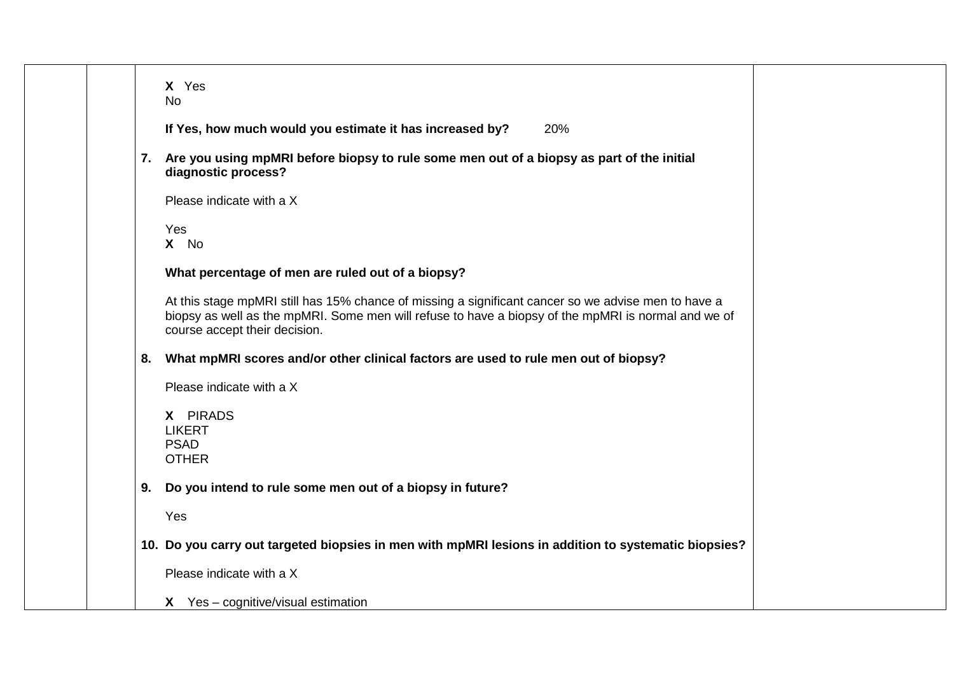| X Yes<br>No                                                                                                                                                                                                                                 |
|---------------------------------------------------------------------------------------------------------------------------------------------------------------------------------------------------------------------------------------------|
| If Yes, how much would you estimate it has increased by?<br>20%                                                                                                                                                                             |
| 7. Are you using mpMRI before biopsy to rule some men out of a biopsy as part of the initial<br>diagnostic process?                                                                                                                         |
| Please indicate with a X                                                                                                                                                                                                                    |
| Yes<br>X No                                                                                                                                                                                                                                 |
| What percentage of men are ruled out of a biopsy?                                                                                                                                                                                           |
| At this stage mpMRI still has 15% chance of missing a significant cancer so we advise men to have a<br>biopsy as well as the mpMRI. Some men will refuse to have a biopsy of the mpMRI is normal and we of<br>course accept their decision. |
| 8. What mpMRI scores and/or other clinical factors are used to rule men out of biopsy?                                                                                                                                                      |
| Please indicate with a X                                                                                                                                                                                                                    |
| X PIRADS                                                                                                                                                                                                                                    |
| <b>LIKERT</b><br><b>PSAD</b>                                                                                                                                                                                                                |
| <b>OTHER</b>                                                                                                                                                                                                                                |
| Do you intend to rule some men out of a biopsy in future?<br>9.                                                                                                                                                                             |
| Yes                                                                                                                                                                                                                                         |
| 10. Do you carry out targeted biopsies in men with mpMRI lesions in addition to systematic biopsies?                                                                                                                                        |
| Please indicate with a X                                                                                                                                                                                                                    |
| $X$ Yes – cognitive/visual estimation                                                                                                                                                                                                       |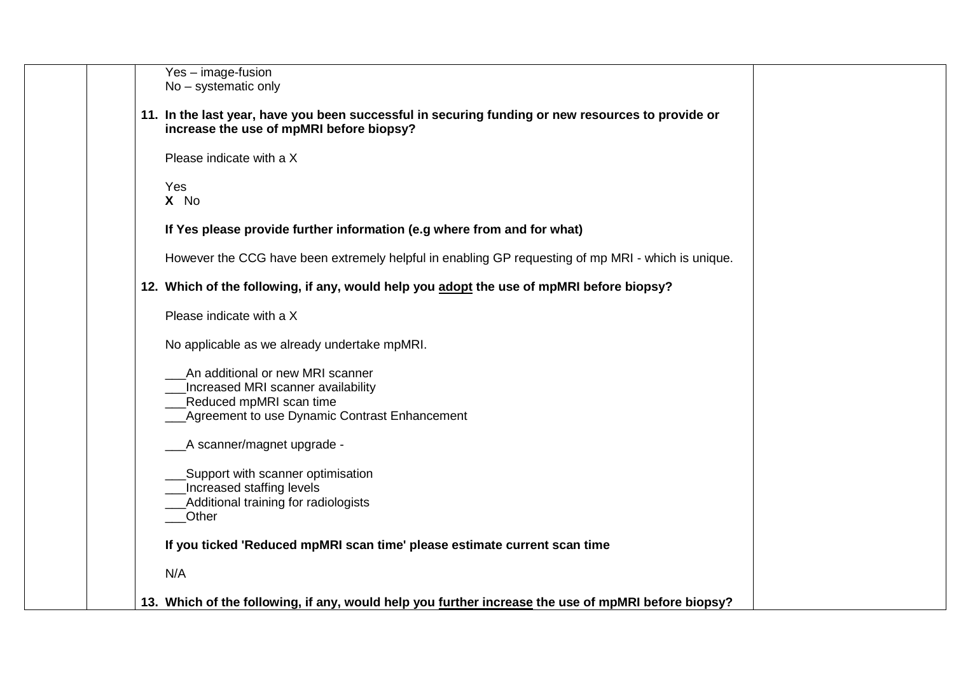| $Yes - image-fusion$<br>$No - systematic only$                                                                                                |
|-----------------------------------------------------------------------------------------------------------------------------------------------|
|                                                                                                                                               |
| 11. In the last year, have you been successful in securing funding or new resources to provide or<br>increase the use of mpMRI before biopsy? |
| Please indicate with a X                                                                                                                      |
| Yes<br>X No                                                                                                                                   |
| If Yes please provide further information (e.g where from and for what)                                                                       |
| However the CCG have been extremely helpful in enabling GP requesting of mp MRI - which is unique.                                            |
| 12. Which of the following, if any, would help you adopt the use of mpMRI before biopsy?                                                      |
| Please indicate with a X                                                                                                                      |
| No applicable as we already undertake mpMRI.                                                                                                  |
| An additional or new MRI scanner                                                                                                              |
| Increased MRI scanner availability<br>Reduced mpMRI scan time                                                                                 |
| Agreement to use Dynamic Contrast Enhancement                                                                                                 |
| A scanner/magnet upgrade -                                                                                                                    |
| Support with scanner optimisation                                                                                                             |
| Increased staffing levels                                                                                                                     |
| Additional training for radiologists<br>Other                                                                                                 |
|                                                                                                                                               |
| If you ticked 'Reduced mpMRI scan time' please estimate current scan time                                                                     |
| N/A                                                                                                                                           |
| 13. Which of the following, if any, would help you further increase the use of mpMRI before biopsy?                                           |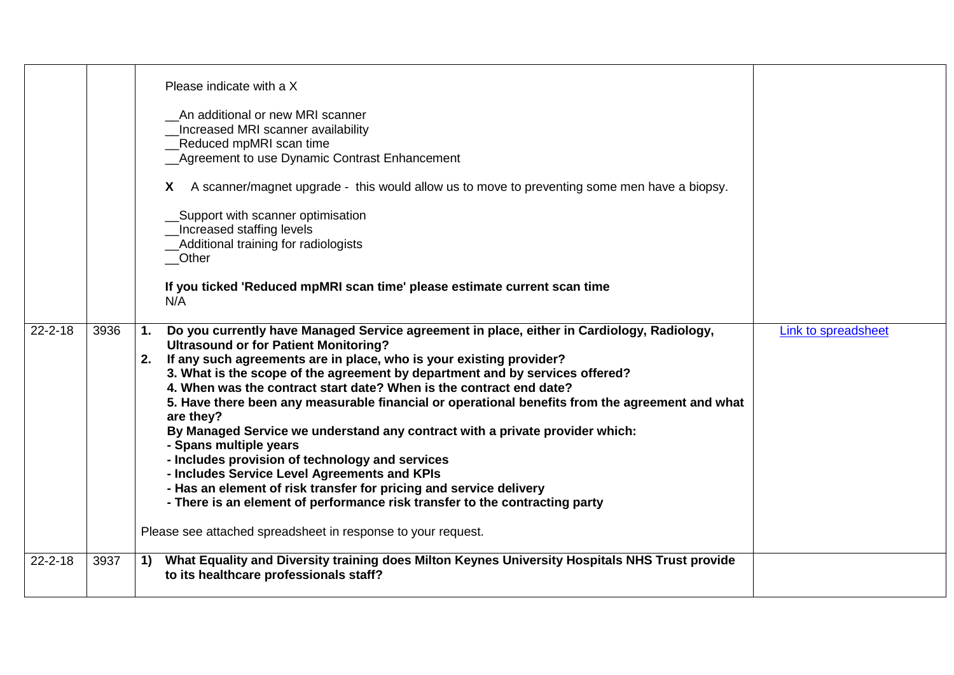|               |      | Please indicate with a X<br>An additional or new MRI scanner<br>Increased MRI scanner availability<br>Reduced mpMRI scan time<br><b>Agreement to use Dynamic Contrast Enhancement</b><br>A scanner/magnet upgrade - this would allow us to move to preventing some men have a biopsy.<br>X.<br>_Support with scanner optimisation<br>Increased staffing levels<br>Additional training for radiologists<br>Other<br>If you ticked 'Reduced mpMRI scan time' please estimate current scan time<br>N/A |                     |
|---------------|------|-----------------------------------------------------------------------------------------------------------------------------------------------------------------------------------------------------------------------------------------------------------------------------------------------------------------------------------------------------------------------------------------------------------------------------------------------------------------------------------------------------|---------------------|
| $22 - 2 - 18$ | 3936 | Do you currently have Managed Service agreement in place, either in Cardiology, Radiology,<br>1.                                                                                                                                                                                                                                                                                                                                                                                                    | Link to spreadsheet |
|               |      | <b>Ultrasound or for Patient Monitoring?</b>                                                                                                                                                                                                                                                                                                                                                                                                                                                        |                     |
|               |      | 2. If any such agreements are in place, who is your existing provider?<br>3. What is the scope of the agreement by department and by services offered?                                                                                                                                                                                                                                                                                                                                              |                     |
|               |      | 4. When was the contract start date? When is the contract end date?                                                                                                                                                                                                                                                                                                                                                                                                                                 |                     |
|               |      | 5. Have there been any measurable financial or operational benefits from the agreement and what                                                                                                                                                                                                                                                                                                                                                                                                     |                     |
|               |      | are they?<br>By Managed Service we understand any contract with a private provider which:                                                                                                                                                                                                                                                                                                                                                                                                           |                     |
|               |      | - Spans multiple years                                                                                                                                                                                                                                                                                                                                                                                                                                                                              |                     |
|               |      | - Includes provision of technology and services                                                                                                                                                                                                                                                                                                                                                                                                                                                     |                     |
|               |      | - Includes Service Level Agreements and KPIs<br>- Has an element of risk transfer for pricing and service delivery                                                                                                                                                                                                                                                                                                                                                                                  |                     |
|               |      | - There is an element of performance risk transfer to the contracting party                                                                                                                                                                                                                                                                                                                                                                                                                         |                     |
|               |      |                                                                                                                                                                                                                                                                                                                                                                                                                                                                                                     |                     |
|               |      | Please see attached spreadsheet in response to your request.                                                                                                                                                                                                                                                                                                                                                                                                                                        |                     |
| $22 - 2 - 18$ | 3937 | What Equality and Diversity training does Milton Keynes University Hospitals NHS Trust provide<br>$\left( \mathbf{1}\right)$<br>to its healthcare professionals staff?                                                                                                                                                                                                                                                                                                                              |                     |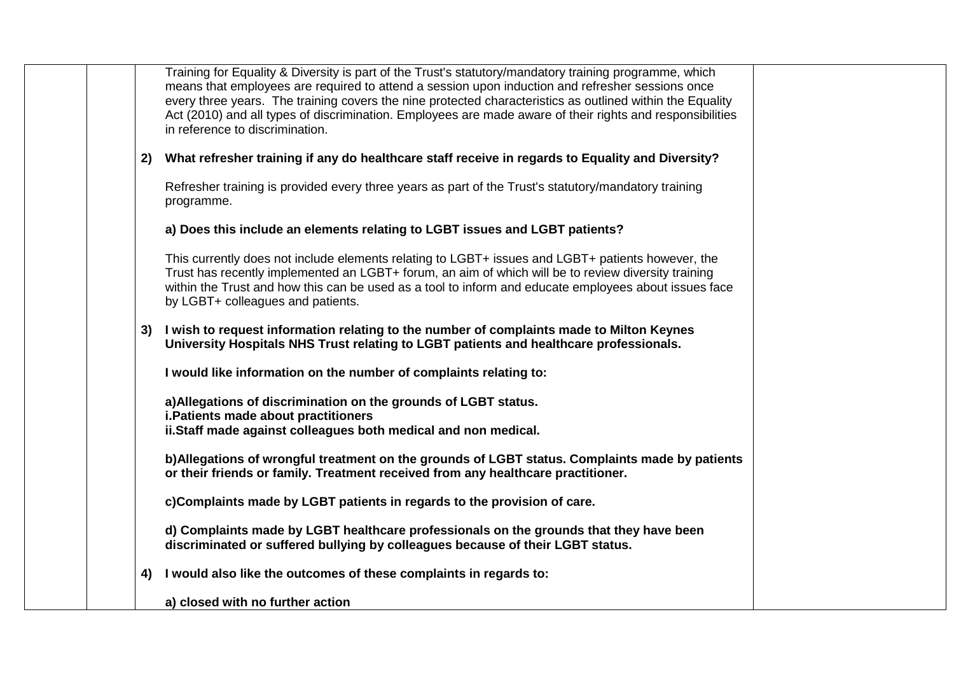|  |    | Training for Equality & Diversity is part of the Trust's statutory/mandatory training programme, which<br>means that employees are required to attend a session upon induction and refresher sessions once<br>every three years. The training covers the nine protected characteristics as outlined within the Equality<br>Act (2010) and all types of discrimination. Employees are made aware of their rights and responsibilities<br>in reference to discrimination. |  |
|--|----|-------------------------------------------------------------------------------------------------------------------------------------------------------------------------------------------------------------------------------------------------------------------------------------------------------------------------------------------------------------------------------------------------------------------------------------------------------------------------|--|
|  |    | 2) What refresher training if any do healthcare staff receive in regards to Equality and Diversity?                                                                                                                                                                                                                                                                                                                                                                     |  |
|  |    | Refresher training is provided every three years as part of the Trust's statutory/mandatory training<br>programme.                                                                                                                                                                                                                                                                                                                                                      |  |
|  |    | a) Does this include an elements relating to LGBT issues and LGBT patients?                                                                                                                                                                                                                                                                                                                                                                                             |  |
|  |    | This currently does not include elements relating to LGBT+ issues and LGBT+ patients however, the<br>Trust has recently implemented an LGBT+ forum, an aim of which will be to review diversity training<br>within the Trust and how this can be used as a tool to inform and educate employees about issues face<br>by LGBT+ colleagues and patients.                                                                                                                  |  |
|  |    | 3) I wish to request information relating to the number of complaints made to Milton Keynes<br>University Hospitals NHS Trust relating to LGBT patients and healthcare professionals.                                                                                                                                                                                                                                                                                   |  |
|  |    | I would like information on the number of complaints relating to:                                                                                                                                                                                                                                                                                                                                                                                                       |  |
|  |    | a) Allegations of discrimination on the grounds of LGBT status.<br>i. Patients made about practitioners<br>ii.Staff made against colleagues both medical and non medical.                                                                                                                                                                                                                                                                                               |  |
|  |    | b) Allegations of wrongful treatment on the grounds of LGBT status. Complaints made by patients<br>or their friends or family. Treatment received from any healthcare practitioner.                                                                                                                                                                                                                                                                                     |  |
|  |    | c)Complaints made by LGBT patients in regards to the provision of care.                                                                                                                                                                                                                                                                                                                                                                                                 |  |
|  |    | d) Complaints made by LGBT healthcare professionals on the grounds that they have been<br>discriminated or suffered bullying by colleagues because of their LGBT status.                                                                                                                                                                                                                                                                                                |  |
|  | 4) | I would also like the outcomes of these complaints in regards to:                                                                                                                                                                                                                                                                                                                                                                                                       |  |
|  |    | a) closed with no further action                                                                                                                                                                                                                                                                                                                                                                                                                                        |  |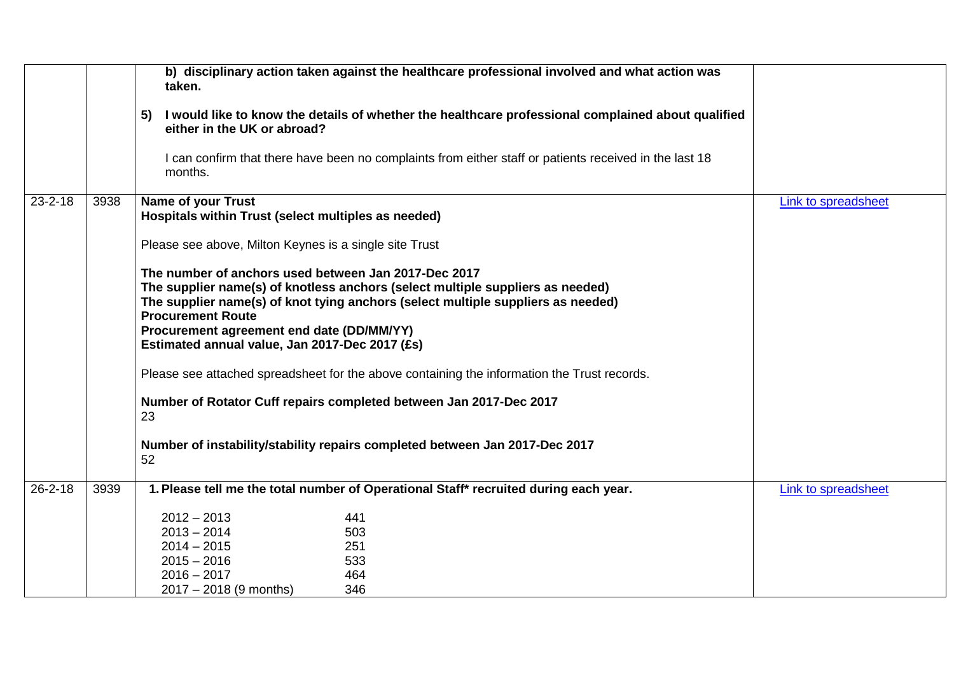|               |      | b) disciplinary action taken against the healthcare professional involved and what action was<br>taken.<br>I would like to know the details of whether the healthcare professional complained about qualified<br>5)<br>either in the UK or abroad?<br>I can confirm that there have been no complaints from either staff or patients received in the last 18 |                            |
|---------------|------|--------------------------------------------------------------------------------------------------------------------------------------------------------------------------------------------------------------------------------------------------------------------------------------------------------------------------------------------------------------|----------------------------|
|               |      | months.                                                                                                                                                                                                                                                                                                                                                      |                            |
| $23 - 2 - 18$ | 3938 | <b>Name of your Trust</b><br>Hospitals within Trust (select multiples as needed)                                                                                                                                                                                                                                                                             | Link to spreadsheet        |
|               |      | Please see above, Milton Keynes is a single site Trust                                                                                                                                                                                                                                                                                                       |                            |
|               |      | The number of anchors used between Jan 2017-Dec 2017<br>The supplier name(s) of knotless anchors (select multiple suppliers as needed)<br>The supplier name(s) of knot tying anchors (select multiple suppliers as needed)<br><b>Procurement Route</b><br>Procurement agreement end date (DD/MM/YY)<br>Estimated annual value, Jan 2017-Dec 2017 (£s)        |                            |
|               |      | Please see attached spreadsheet for the above containing the information the Trust records.                                                                                                                                                                                                                                                                  |                            |
|               |      | Number of Rotator Cuff repairs completed between Jan 2017-Dec 2017<br>23                                                                                                                                                                                                                                                                                     |                            |
|               |      | Number of instability/stability repairs completed between Jan 2017-Dec 2017<br>52                                                                                                                                                                                                                                                                            |                            |
| $26 - 2 - 18$ | 3939 | 1. Please tell me the total number of Operational Staff* recruited during each year.                                                                                                                                                                                                                                                                         | <b>Link to spreadsheet</b> |
|               |      | $2012 - 2013$<br>441<br>$2013 - 2014$<br>503<br>$2014 - 2015$<br>251<br>$2015 - 2016$<br>533<br>$2016 - 2017$<br>464                                                                                                                                                                                                                                         |                            |
|               |      | $2017 - 2018$ (9 months)<br>346                                                                                                                                                                                                                                                                                                                              |                            |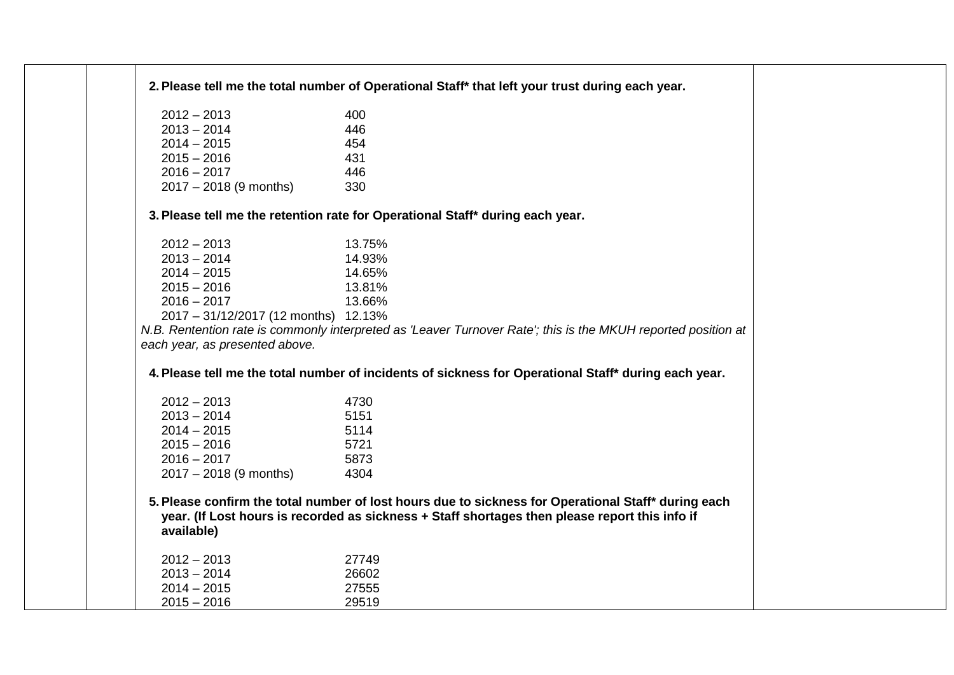|  |                                      | 2. Please tell me the total number of Operational Staff* that left your trust during each year.                                                                                                       |  |
|--|--------------------------------------|-------------------------------------------------------------------------------------------------------------------------------------------------------------------------------------------------------|--|
|  | $2012 - 2013$                        | 400                                                                                                                                                                                                   |  |
|  | $2013 - 2014$                        | 446                                                                                                                                                                                                   |  |
|  | $2014 - 2015$                        | 454                                                                                                                                                                                                   |  |
|  | $2015 - 2016$                        | 431                                                                                                                                                                                                   |  |
|  | $2016 - 2017$                        | 446                                                                                                                                                                                                   |  |
|  | $2017 - 2018$ (9 months)             | 330                                                                                                                                                                                                   |  |
|  |                                      | 3. Please tell me the retention rate for Operational Staff* during each year.                                                                                                                         |  |
|  | $2012 - 2013$                        | 13.75%                                                                                                                                                                                                |  |
|  | $2013 - 2014$                        | 14.93%                                                                                                                                                                                                |  |
|  | $2014 - 2015$                        | 14.65%                                                                                                                                                                                                |  |
|  | $2015 - 2016$                        | 13.81%                                                                                                                                                                                                |  |
|  | $2016 - 2017$                        | 13.66%                                                                                                                                                                                                |  |
|  | 2017 - 31/12/2017 (12 months) 12.13% |                                                                                                                                                                                                       |  |
|  |                                      | N.B. Rentention rate is commonly interpreted as 'Leaver Turnover Rate'; this is the MKUH reported position at                                                                                         |  |
|  | each year, as presented above.       |                                                                                                                                                                                                       |  |
|  |                                      | 4. Please tell me the total number of incidents of sickness for Operational Staff* during each year.                                                                                                  |  |
|  | $2012 - 2013$                        | 4730                                                                                                                                                                                                  |  |
|  | $2013 - 2014$                        | 5151                                                                                                                                                                                                  |  |
|  | $2014 - 2015$                        | 5114                                                                                                                                                                                                  |  |
|  | $2015 - 2016$                        | 5721                                                                                                                                                                                                  |  |
|  | $2016 - 2017$                        | 5873                                                                                                                                                                                                  |  |
|  | $2017 - 2018$ (9 months)             | 4304                                                                                                                                                                                                  |  |
|  | available)                           | 5. Please confirm the total number of lost hours due to sickness for Operational Staff* during each<br>year. (If Lost hours is recorded as sickness + Staff shortages then please report this info if |  |
|  | $2012 - 2013$                        | 27749                                                                                                                                                                                                 |  |
|  | $2013 - 2014$                        | 26602                                                                                                                                                                                                 |  |
|  | $2014 - 2015$                        | 27555                                                                                                                                                                                                 |  |
|  | $2015 - 2016$                        | 29519                                                                                                                                                                                                 |  |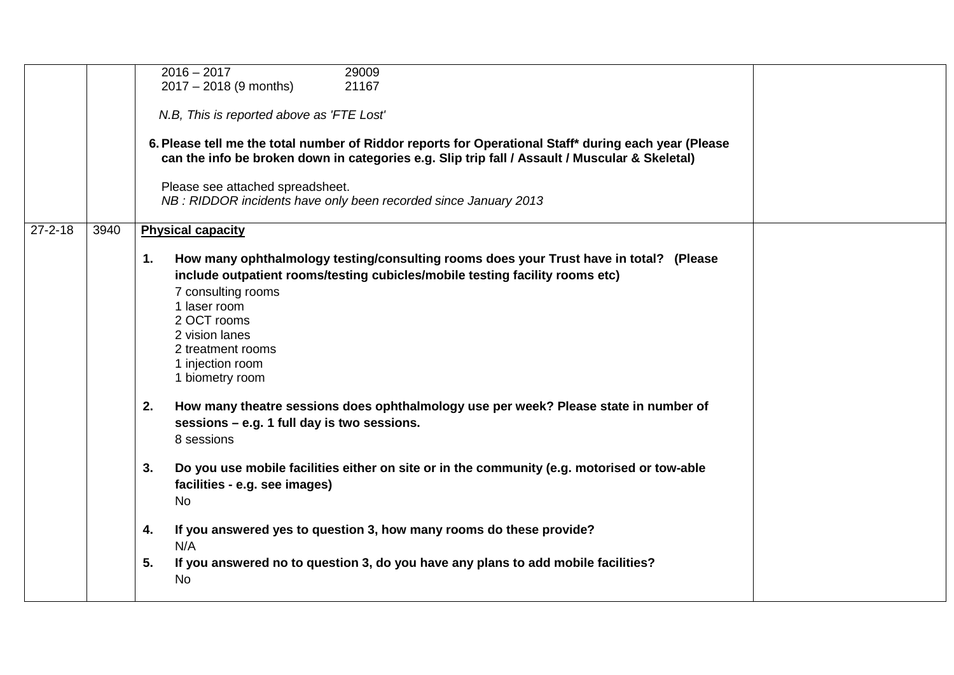|               |      | $2016 - 2017$<br>29009                                                                               |
|---------------|------|------------------------------------------------------------------------------------------------------|
|               |      | 2017 - 2018 (9 months)<br>21167                                                                      |
|               |      |                                                                                                      |
|               |      | N.B, This is reported above as 'FTE Lost'                                                            |
|               |      |                                                                                                      |
|               |      | 6. Please tell me the total number of Riddor reports for Operational Staff* during each year (Please |
|               |      | can the info be broken down in categories e.g. Slip trip fall / Assault / Muscular & Skeletal)       |
|               |      |                                                                                                      |
|               |      | Please see attached spreadsheet.                                                                     |
|               |      | NB: RIDDOR incidents have only been recorded since January 2013                                      |
|               |      |                                                                                                      |
| $27 - 2 - 18$ | 3940 | <b>Physical capacity</b>                                                                             |
|               |      |                                                                                                      |
|               |      | How many ophthalmology testing/consulting rooms does your Trust have in total? (Please<br>1.         |
|               |      | include outpatient rooms/testing cubicles/mobile testing facility rooms etc)                         |
|               |      |                                                                                                      |
|               |      | 7 consulting rooms                                                                                   |
|               |      | 1 laser room                                                                                         |
|               |      | 2 OCT rooms                                                                                          |
|               |      | 2 vision lanes                                                                                       |
|               |      | 2 treatment rooms                                                                                    |
|               |      | 1 injection room                                                                                     |
|               |      | 1 biometry room                                                                                      |
|               |      |                                                                                                      |
|               |      | How many theatre sessions does ophthalmology use per week? Please state in number of<br>2.           |
|               |      | sessions - e.g. 1 full day is two sessions.                                                          |
|               |      |                                                                                                      |
|               |      | 8 sessions                                                                                           |
|               |      |                                                                                                      |
|               |      | Do you use mobile facilities either on site or in the community (e.g. motorised or tow-able<br>3.    |
|               |      | facilities - e.g. see images)                                                                        |
|               |      | <b>No</b>                                                                                            |
|               |      |                                                                                                      |
|               |      | If you answered yes to question 3, how many rooms do these provide?<br>4.                            |
|               |      | N/A                                                                                                  |
|               |      |                                                                                                      |
|               |      | If you answered no to question 3, do you have any plans to add mobile facilities?<br>5.              |
|               |      | No                                                                                                   |
|               |      |                                                                                                      |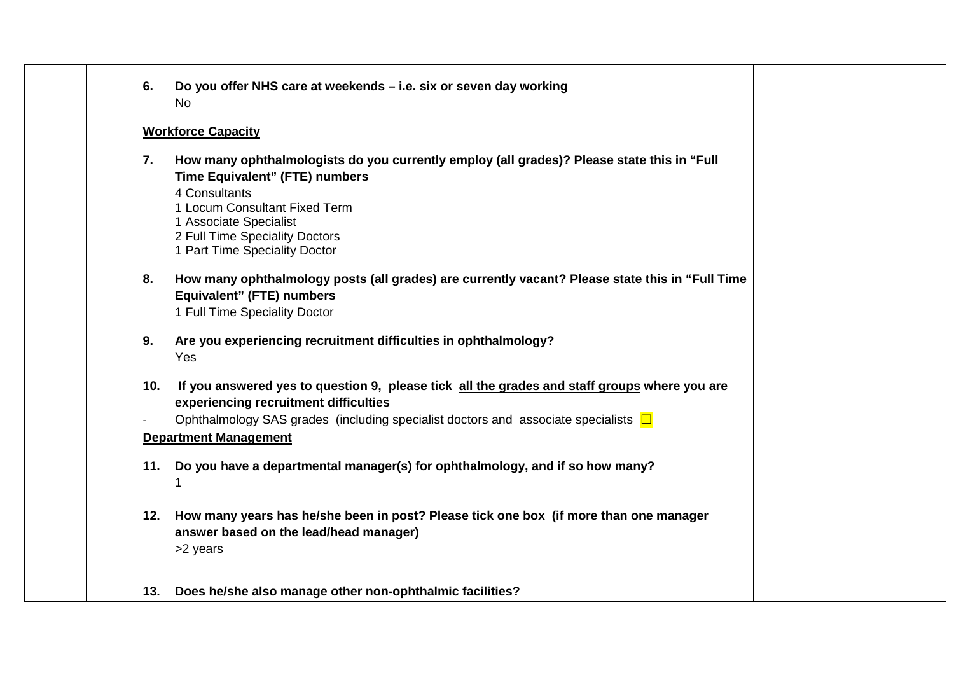| 6.  | Do you offer NHS care at weekends - i.e. six or seven day working<br><b>No</b>                                                                                                                                                                                              |  |
|-----|-----------------------------------------------------------------------------------------------------------------------------------------------------------------------------------------------------------------------------------------------------------------------------|--|
|     | <b>Workforce Capacity</b>                                                                                                                                                                                                                                                   |  |
| 7.  | How many ophthalmologists do you currently employ (all grades)? Please state this in "Full<br>Time Equivalent" (FTE) numbers<br>4 Consultants<br>1 Locum Consultant Fixed Term<br>1 Associate Specialist<br>2 Full Time Speciality Doctors<br>1 Part Time Speciality Doctor |  |
| 8.  | How many ophthalmology posts (all grades) are currently vacant? Please state this in "Full Time<br>Equivalent" (FTE) numbers<br>1 Full Time Speciality Doctor                                                                                                               |  |
| 9.  | Are you experiencing recruitment difficulties in ophthalmology?<br>Yes                                                                                                                                                                                                      |  |
| 10. | If you answered yes to question 9, please tick all the grades and staff groups where you are<br>experiencing recruitment difficulties                                                                                                                                       |  |
|     | Ophthalmology SAS grades (including specialist doctors and associate specialists $\square$<br><b>Department Management</b>                                                                                                                                                  |  |
| 11. | Do you have a departmental manager(s) for ophthalmology, and if so how many?                                                                                                                                                                                                |  |
| 12. | How many years has he/she been in post? Please tick one box (if more than one manager<br>answer based on the lead/head manager)<br>>2 years                                                                                                                                 |  |
| 13. | Does he/she also manage other non-ophthalmic facilities?                                                                                                                                                                                                                    |  |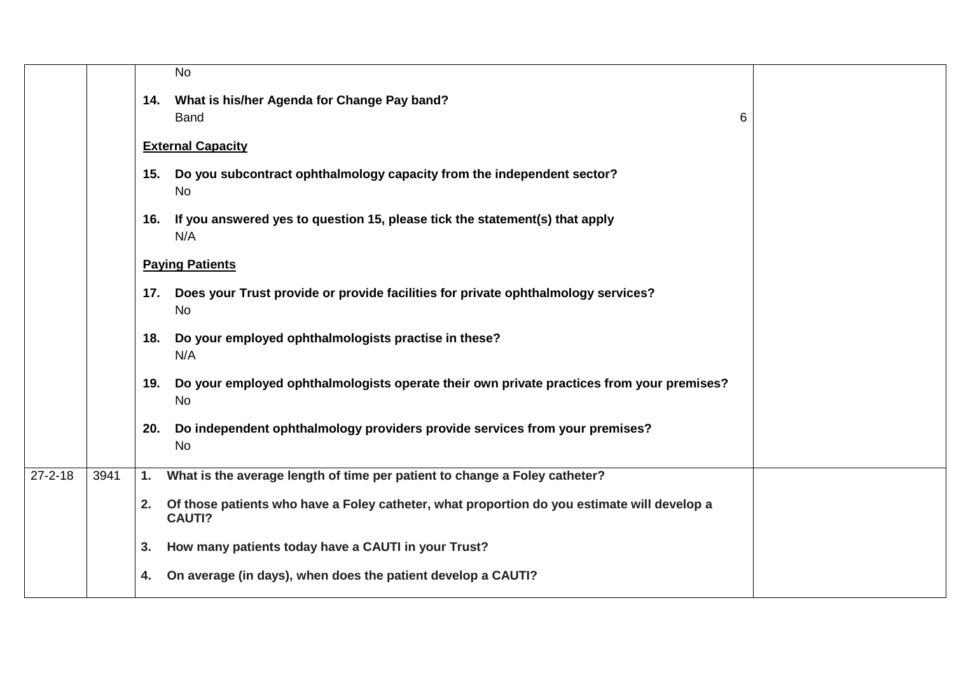|               |      |     | No                                                                                                              |  |
|---------------|------|-----|-----------------------------------------------------------------------------------------------------------------|--|
|               |      |     | 14. What is his/her Agenda for Change Pay band?<br><b>Band</b><br>6                                             |  |
|               |      |     | <b>External Capacity</b>                                                                                        |  |
|               |      |     | 15. Do you subcontract ophthalmology capacity from the independent sector?<br><b>No</b>                         |  |
|               |      |     | 16. If you answered yes to question 15, please tick the statement(s) that apply<br>N/A                          |  |
|               |      |     | <b>Paying Patients</b>                                                                                          |  |
|               |      |     | 17. Does your Trust provide or provide facilities for private ophthalmology services?<br><b>No</b>              |  |
|               |      | 18. | Do your employed ophthalmologists practise in these?<br>N/A                                                     |  |
|               |      | 19. | Do your employed ophthalmologists operate their own private practices from your premises?<br>No                 |  |
|               |      | 20. | Do independent ophthalmology providers provide services from your premises?<br><b>No</b>                        |  |
| $27 - 2 - 18$ | 3941 | 1.  | What is the average length of time per patient to change a Foley catheter?                                      |  |
|               |      |     | 2. Of those patients who have a Foley catheter, what proportion do you estimate will develop a<br><b>CAUTI?</b> |  |
|               |      |     | 3. How many patients today have a CAUTI in your Trust?                                                          |  |
|               |      | 4.  | On average (in days), when does the patient develop a CAUTI?                                                    |  |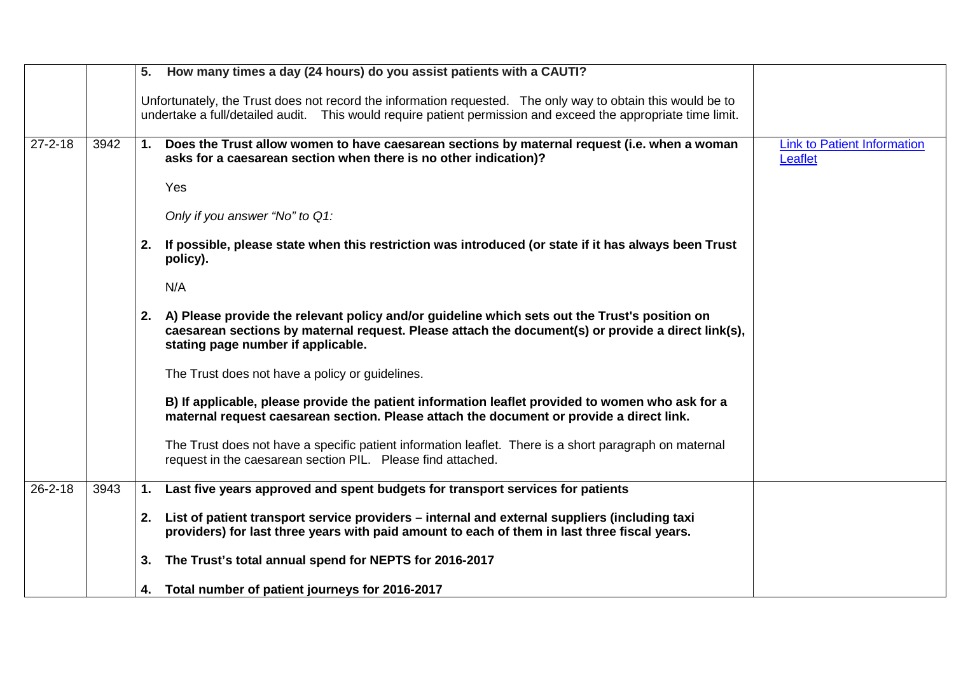|               |      | 5. | How many times a day (24 hours) do you assist patients with a CAUTI?                                                                                                                                                                      |                                               |
|---------------|------|----|-------------------------------------------------------------------------------------------------------------------------------------------------------------------------------------------------------------------------------------------|-----------------------------------------------|
|               |      |    | Unfortunately, the Trust does not record the information requested. The only way to obtain this would be to                                                                                                                               |                                               |
|               |      |    | undertake a full/detailed audit.  This would require patient permission and exceed the appropriate time limit.                                                                                                                            |                                               |
| $27 - 2 - 18$ | 3942 | 1. | Does the Trust allow women to have caesarean sections by maternal request (i.e. when a woman<br>asks for a caesarean section when there is no other indication)?                                                                          | <b>Link to Patient Information</b><br>Leaflet |
|               |      |    | Yes                                                                                                                                                                                                                                       |                                               |
|               |      |    | Only if you answer "No" to Q1:                                                                                                                                                                                                            |                                               |
|               |      | 2. | If possible, please state when this restriction was introduced (or state if it has always been Trust<br>policy).                                                                                                                          |                                               |
|               |      |    | N/A                                                                                                                                                                                                                                       |                                               |
|               |      | 2. | A) Please provide the relevant policy and/or guideline which sets out the Trust's position on<br>caesarean sections by maternal request. Please attach the document(s) or provide a direct link(s),<br>stating page number if applicable. |                                               |
|               |      |    | The Trust does not have a policy or guidelines.                                                                                                                                                                                           |                                               |
|               |      |    | B) If applicable, please provide the patient information leaflet provided to women who ask for a<br>maternal request caesarean section. Please attach the document or provide a direct link.                                              |                                               |
|               |      |    | The Trust does not have a specific patient information leaflet. There is a short paragraph on maternal<br>request in the caesarean section PIL. Please find attached.                                                                     |                                               |
| $26 - 2 - 18$ | 3943 | 1. | Last five years approved and spent budgets for transport services for patients                                                                                                                                                            |                                               |
|               |      | 2. | List of patient transport service providers - internal and external suppliers (including taxi<br>providers) for last three years with paid amount to each of them in last three fiscal years.                                             |                                               |
|               |      | 3. | The Trust's total annual spend for NEPTS for 2016-2017                                                                                                                                                                                    |                                               |
|               |      |    | 4. Total number of patient journeys for 2016-2017                                                                                                                                                                                         |                                               |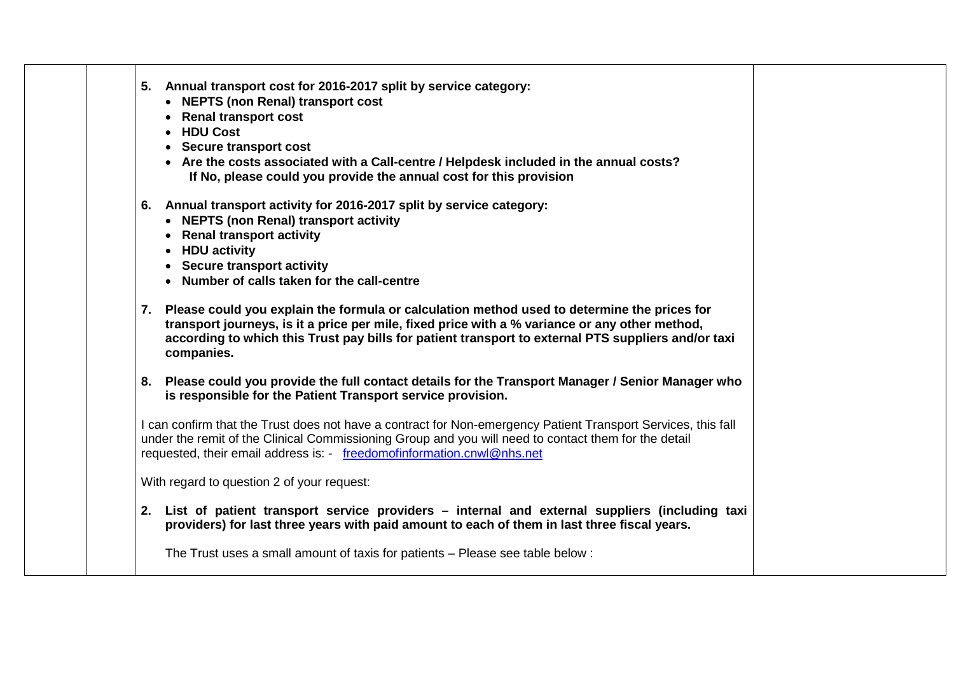|  | 5. Annual transport cost for 2016-2017 split by service category:<br>• NEPTS (non Renal) transport cost<br>• Renal transport cost<br>• HDU Cost<br>• Secure transport cost                                                                                                                                            |
|--|-----------------------------------------------------------------------------------------------------------------------------------------------------------------------------------------------------------------------------------------------------------------------------------------------------------------------|
|  | • Are the costs associated with a Call-centre / Helpdesk included in the annual costs?<br>If No, please could you provide the annual cost for this provision                                                                                                                                                          |
|  | 6. Annual transport activity for 2016-2017 split by service category:<br>• NEPTS (non Renal) transport activity<br>• Renal transport activity<br>• HDU activity<br>• Secure transport activity<br>• Number of calls taken for the call-centre                                                                         |
|  | 7. Please could you explain the formula or calculation method used to determine the prices for<br>transport journeys, is it a price per mile, fixed price with a % variance or any other method,<br>according to which this Trust pay bills for patient transport to external PTS suppliers and/or taxi<br>companies. |
|  | 8. Please could you provide the full contact details for the Transport Manager / Senior Manager who<br>is responsible for the Patient Transport service provision.                                                                                                                                                    |
|  | I can confirm that the Trust does not have a contract for Non-emergency Patient Transport Services, this fall<br>under the remit of the Clinical Commissioning Group and you will need to contact them for the detail<br>requested, their email address is: - freedomofinformation.cnwl@nhs.net                       |
|  | With regard to question 2 of your request:                                                                                                                                                                                                                                                                            |
|  | 2. List of patient transport service providers - internal and external suppliers (including taxi<br>providers) for last three years with paid amount to each of them in last three fiscal years.                                                                                                                      |
|  | The Trust uses a small amount of taxis for patients - Please see table below :                                                                                                                                                                                                                                        |
|  |                                                                                                                                                                                                                                                                                                                       |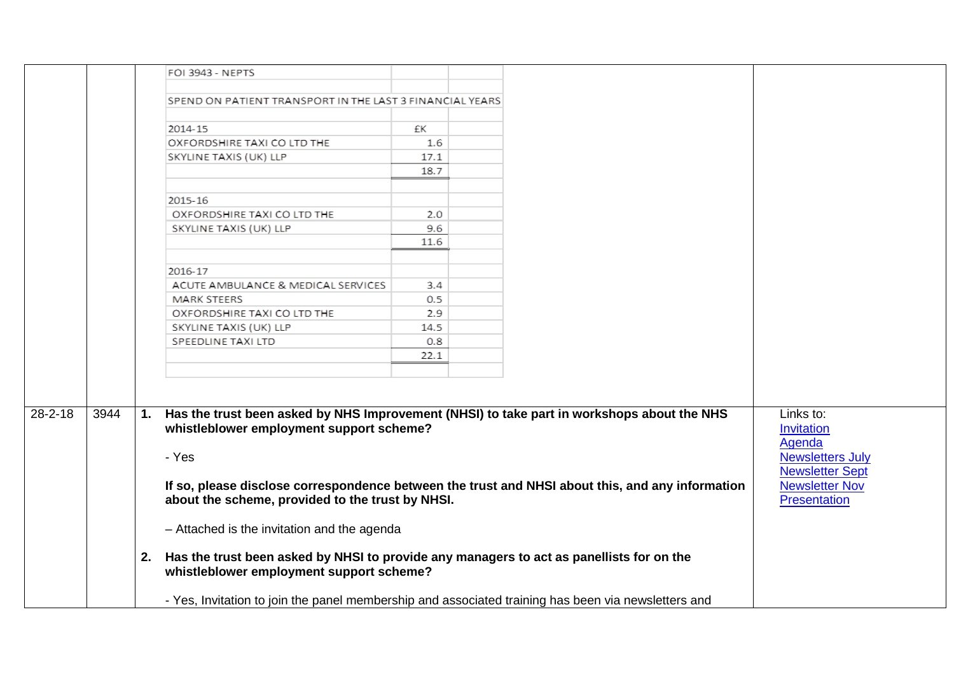|               |      |    | <b>FOI 3943 - NEPTS</b>                                                                                                              |      |                                                                                                  |                         |
|---------------|------|----|--------------------------------------------------------------------------------------------------------------------------------------|------|--------------------------------------------------------------------------------------------------|-------------------------|
|               |      |    | SPEND ON PATIENT TRANSPORT IN THE LAST 3 FINANCIAL YEARS                                                                             |      |                                                                                                  |                         |
|               |      |    |                                                                                                                                      |      |                                                                                                  |                         |
|               |      |    | 2014-15                                                                                                                              | £K   |                                                                                                  |                         |
|               |      |    | OXFORDSHIRE TAXI CO LTD THE                                                                                                          | 1.6  |                                                                                                  |                         |
|               |      |    | SKYLINE TAXIS (UK) LLP                                                                                                               | 17.1 |                                                                                                  |                         |
|               |      |    |                                                                                                                                      | 18.7 |                                                                                                  |                         |
|               |      |    |                                                                                                                                      |      |                                                                                                  |                         |
|               |      |    | 2015-16                                                                                                                              |      |                                                                                                  |                         |
|               |      |    | OXFORDSHIRE TAXI CO LTD THE                                                                                                          | 2.0  |                                                                                                  |                         |
|               |      |    | SKYLINE TAXIS (UK) LLP                                                                                                               | 9.6  |                                                                                                  |                         |
|               |      |    |                                                                                                                                      | 11.6 |                                                                                                  |                         |
|               |      |    |                                                                                                                                      |      |                                                                                                  |                         |
|               |      |    | 2016-17                                                                                                                              |      |                                                                                                  |                         |
|               |      |    | ACUTE AMBULANCE & MEDICAL SERVICES                                                                                                   | 3.4  |                                                                                                  |                         |
|               |      |    | MARK STEERS                                                                                                                          | 0.5  |                                                                                                  |                         |
|               |      |    | OXFORDSHIRE TAXI CO LTD THE                                                                                                          | 2.9  |                                                                                                  |                         |
|               |      |    | SKYLINE TAXIS (UK) LLP                                                                                                               | 14.5 |                                                                                                  |                         |
|               |      |    | SPEEDLINE TAXI LTD                                                                                                                   | 0.8  |                                                                                                  |                         |
|               |      |    |                                                                                                                                      | 22.1 |                                                                                                  |                         |
|               |      |    |                                                                                                                                      |      |                                                                                                  |                         |
|               |      |    |                                                                                                                                      |      |                                                                                                  |                         |
|               |      |    |                                                                                                                                      |      |                                                                                                  |                         |
| $28 - 2 - 18$ | 3944 | 1. |                                                                                                                                      |      | Has the trust been asked by NHS Improvement (NHSI) to take part in workshops about the NHS       | Links to:               |
|               |      |    | whistleblower employment support scheme?                                                                                             |      |                                                                                                  | Invitation              |
|               |      |    |                                                                                                                                      |      |                                                                                                  | Agenda                  |
|               |      |    | - Yes                                                                                                                                |      |                                                                                                  | <b>Newsletters July</b> |
|               |      |    |                                                                                                                                      |      |                                                                                                  | <b>Newsletter Sept</b>  |
|               |      |    |                                                                                                                                      |      | If so, please disclose correspondence between the trust and NHSI about this, and any information | <b>Newsletter Nov</b>   |
|               |      |    | about the scheme, provided to the trust by NHSI.                                                                                     |      |                                                                                                  | Presentation            |
|               |      |    | - Attached is the invitation and the agenda                                                                                          |      |                                                                                                  |                         |
|               |      |    |                                                                                                                                      |      |                                                                                                  |                         |
|               |      | 2. | Has the trust been asked by NHSI to provide any managers to act as panellists for on the<br>whistleblower employment support scheme? |      |                                                                                                  |                         |
|               |      |    |                                                                                                                                      |      |                                                                                                  |                         |
|               |      |    | - Yes, Invitation to join the panel membership and associated training has been via newsletters and                                  |      |                                                                                                  |                         |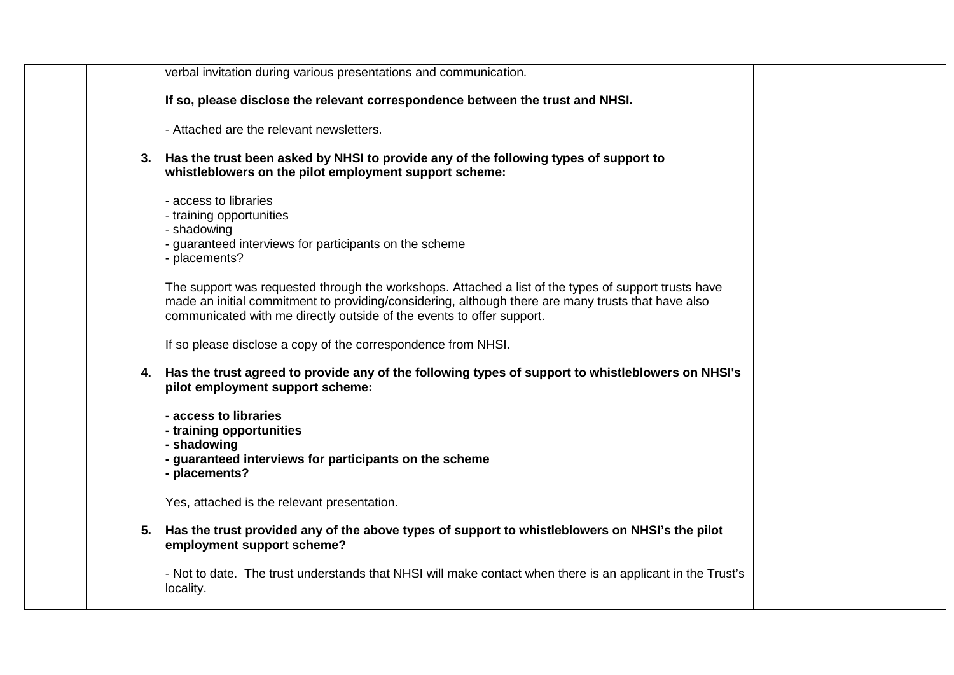|  | verbal invitation during various presentations and communication.                                                                                                                                                                                                                   |  |
|--|-------------------------------------------------------------------------------------------------------------------------------------------------------------------------------------------------------------------------------------------------------------------------------------|--|
|  | If so, please disclose the relevant correspondence between the trust and NHSI.                                                                                                                                                                                                      |  |
|  | - Attached are the relevant newsletters.                                                                                                                                                                                                                                            |  |
|  | 3. Has the trust been asked by NHSI to provide any of the following types of support to<br>whistleblowers on the pilot employment support scheme:                                                                                                                                   |  |
|  | - access to libraries<br>- training opportunities<br>- shadowing<br>- guaranteed interviews for participants on the scheme<br>- placements?                                                                                                                                         |  |
|  | The support was requested through the workshops. Attached a list of the types of support trusts have<br>made an initial commitment to providing/considering, although there are many trusts that have also<br>communicated with me directly outside of the events to offer support. |  |
|  | If so please disclose a copy of the correspondence from NHSI.                                                                                                                                                                                                                       |  |
|  | 4. Has the trust agreed to provide any of the following types of support to whistleblowers on NHSI's<br>pilot employment support scheme:                                                                                                                                            |  |
|  | - access to libraries<br>- training opportunities<br>- shadowing<br>- guaranteed interviews for participants on the scheme<br>- placements?                                                                                                                                         |  |
|  | Yes, attached is the relevant presentation.                                                                                                                                                                                                                                         |  |
|  | 5. Has the trust provided any of the above types of support to whistleblowers on NHSI's the pilot<br>employment support scheme?                                                                                                                                                     |  |
|  | - Not to date. The trust understands that NHSI will make contact when there is an applicant in the Trust's<br>locality.                                                                                                                                                             |  |
|  |                                                                                                                                                                                                                                                                                     |  |